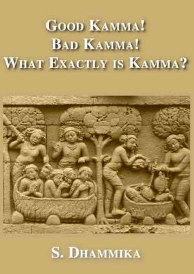# **GOOD KAMMA! BAD KAMMA!** WHAT EXACTLY IS KAMMA?



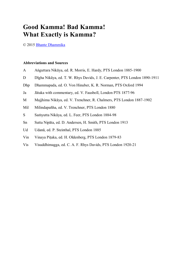# **Good Kamma! Bad Kamma! What Exactly is Kamma?**

© 2015 [Bhante Dhammika](http://www.bhantedhammika.net/what-exactly-is-kamma/)

#### **Abbreviations and Sources**

- A Aṅguttara Nikāya, ed. R. Morris, E. Hardy, PTS London 1885-1900
- D Dīgha Nikāya, ed. T. W. Rhys Davids, J. E. Carpenter, PTS London 1890-1911
- Dhp Dhammapada, ed. O. Von Hinuber, K. R. Norman, PTS Oxford 1994
- Ja Jātaka with commentary, ed. V. Fausboll, London PTS 1877-96
- M Majjhima Nikāya, ed. V. Trenchner, R. Chalmers, PTS London 1887-1902
- Mil Milindapañha, ed. V. Trenchner, PTS London 1880
- S Saṁyutta Nikāya, ed. L. Feer, PTS London 1884-98
- Sn Sutta Nipāta, ed. D. Andersen, H. Smith, PTS London 1913
- Ud Udanā, ed. P. Steinthal, PTS London 1885
- Vin Vinaya Piṭaka, ed. H. Oldenberg, PTS London 1879-83
- Vis Visuddhimagga, ed. C. A. F. Rhys Davids, PTS London 1920-21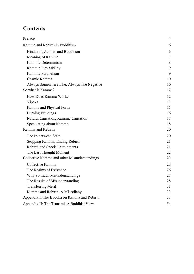# **Contents**

| Preface                                      | 4  |
|----------------------------------------------|----|
| Kamma and Rebirth in Buddhism                | 6  |
| Hinduism, Jainism and Buddhism               | 6  |
| Meaning of Kamma                             | 7  |
| Kammic Determinism                           | 8  |
| Kammic Inevitability                         | 9  |
| Kammic Parallelism                           | 9  |
| Cosmic Kamma                                 | 10 |
| Always Somewhere Else, Always The Negative   | 10 |
| So what is Kamma?                            | 12 |
| How Does Kamma Work?                         | 12 |
| Vipāka                                       | 13 |
| Kamma and Physical Form                      | 15 |
| <b>Burning Buildings</b>                     | 16 |
| Natural Causation, Kammic Causation          | 17 |
| Speculating about Kamma                      | 18 |
| Kamma and Rebirth                            | 20 |
| The In-between State                         | 20 |
| Stopping Kamma, Ending Rebirth               | 21 |
| <b>Rebirth and Special Attainments</b>       | 21 |
| The Last Thought Moment                      | 22 |
| Collective Kamma and other Misunderstandings | 23 |
| Collective Kamma                             | 23 |
| The Realms of Existence                      | 26 |
| Why So much Misunderstanding?                | 27 |
| The Results of Misunderstanding              | 28 |
| <b>Transferring Merit</b>                    | 31 |
| Kamma and Rebirth. A Miscellany              | 33 |
| Appendix I: The Buddha on Kamma and Rebirth  | 37 |
| Appendix II: The Tsunami, A Buddhist View    | 54 |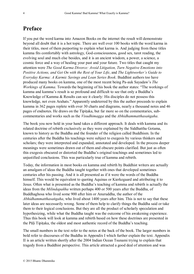# <span id="page-3-0"></span>**Preface**

If you put the word karma into Amazon Books on the internet the result will demonstrate beyond all doubt that it is a hot topic. There are well over 100 books with the word karma in their titles, most of them purporting to explain what karma is. And judging from these titles kamma fits comfortably with astrology, God-consciousness, good sex, tarot reading, the evolving soul and much else besides, and it is an ancient wisdom, a power, a science, a cosmic force and a way of healing your past and your future. Two titles that caught my attention were *The Good Karma Divorce: Avoid Litigation, Turn Negative Emotions into Positive Actions, and Get On with the Rest of Your Life*, and *The Lightworker's Guide to Everyday Karma: A Karmic Savings and Loan Series Book*. Buddhist authors too have produced many books on kamma, one of the most recent being Pa-auk Sayadaw's *The Workings of Kamma*. Towards the beginning of his book the author states: "The workings of kamma and kamma's result is so profound and difficult to see that only a Buddha's Knowledge of Kamma & Results can see it clearly: His disciples do not possess this knowledge, not even Arahats." Apparently undeterred by this the author proceeds to explain kamma in 362 pages replete with over 30 charts and diagrams, nearly a thousand notes and 46 pages of endnotes. He draws on the Tipiṭaka, but far more so on the commentaries, subcommentaries and works such as the *Visudhimagga* and the *Abhidhammatthasaṅgaha*.

The book you now hold in your hand takes a different approach. It deals with kamma and its related doctrine of rebirth exclusively as they were explained by the Siddhattha Gotama, known to history as the Buddha and the founder of the religion called Buddhism. In the centuries after the Buddha his teachings were subject to exegesis by various thinkers and scholars; they were interpreted and expanded, annotated and developed. In the process deeper meanings were sometimes drawn out of them and obscure points clarified. But just as often this exegesis obscured or distorted the Buddha's original teachings and sometimes led to unjustified conclusions. This was particularly true of kamma and rebirth.

Today, the information in most books on kamma and rebirth by Buddhist writers are actually an amalgam of ideas the Buddha taught together with ones that developed sometimes centuries after his passing. And it is all presented as if it were the words of the Buddha himself. This would be equivalent to quoting Aquinas or Kierkegaard and attributing it to Jesus. Often what is presented as the Buddha's teaching of kamma and rebirth is actually the ideas from the *Milindapañha* written perhaps 400 or 500 years after the Buddha, of Buddhaghosa who lived some 900 after him or Anuruddha, the author of the *Abhidhammatthasaṅgaha*, who lived about 1400 years after him. This is not to say that these later ideas are necessarily wrong. Some of them help to clarify things the Buddha said or take them to their logical conclusions. But they are all the product of scholarly speculation and hypothesizing, while what the Buddha taught was the outcome of his awakening experience. Thus this book will look at kamma and rebirth based on how these doctrines are presented in the Pāḷi Tipiṭaka, the oldest and most authentic record of the Buddha's teaching.

The small numbers in the text refer to the notes at the back of the book. The larger numbers in bold refer to discourses of the Buddha in Appendix I which further explain the text. Appendix II is an article written shortly after the 2004 Indian Ocean Tsunami trying to explain that tragedy from a Buddhist perspective. This article attracted a good deal of attention and was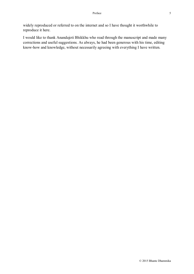widely reproduced or referred to on the internet and so I have thought it worthwhile to reproduce it here.

I would like to thank Anandajoti Bhikkhu who read through the manuscript and made many corrections and useful suggestions. As always, he had been generous with his time, editing know-how and knowledge, without necessarily agreeing with everything I have written.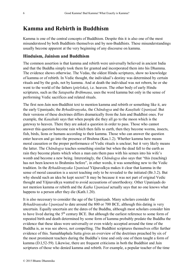### <span id="page-5-0"></span>**Kamma and Rebirth in Buddhism**

Kamma is one of the central concepts of Buddhism. Despite this it is also one of the most misunderstood by both Buddhists themselves and by non-Buddhists. These misunderstandings usually become apparent at the very beginning of any discourse on kamma.

#### <span id="page-5-1"></span>**Hinduism, Jainism and Buddhism**

The common assertion is that kamma and rebirth were universally believed in ancient India and that the Buddha simply took them for granted and incorporated them into his Dhamma. The evidence shows otherwise. The Vedas, the oldest Hindu scriptures, show no knowledge of kamma or of rebirth. In Vedic thought, the individual's destiny was determined by certain rituals and by the gods, not by kamma. And at death the individual was not reborn, he or she went to the world of the fathers (*pitṛloka*), i.e. heaven. The other body of early Hindu scriptures, such as the *Satapatha Brāhmaṇa*, uses the word kamma but only in the sense of performing Vedic sacrifices and related rituals.

The first non-Jain non-Buddhist text to mention kamma and rebirth or something like it, are the early Upaniṣads; the *Bṛhadāraṇyaka*, the *Chāndogya* and the *Kauṣītaki Upaniṣad*. But their versions of these doctrines differs dramatically from the Jain and Buddhist ones. For example, the *Kauṣītaki* says that when people die they all go to the moon which is the gateway to heaven. There they are asked a question in order to pass. Those who cannot answer this question become rain which then falls to earth, then they become worms, insects, fish, birds, lions or humans according to their kamma. Those who can answer the question enter heaven and go into the presence of Brahma (Kau.1.2). Whether kamma here means moral causation or the proper performance of Vedic rituals is unclear; but it very likely means the latter. The *Chāndogya* teaches something similar but when the dead fall to the earth as rain they become plants which when a man eats them pass with his semen into his wife's womb and become a new being. Interestingly, the *Chāndogya* also says that "this (teaching) has not been known to Brahmins before", in other words, it was something new to the Vedic tradition. In the *Bṛhadāraṇyaka Upanisad* Yājnavalkya makes it clear that kamma in the sense of moral causation is a secret teaching only to be revealed to the initiated (Br.3.2). But why should such an idea be kept secret? It may be because it was not part of original Vedic thought and Yājnavalkya wanted to avoid accusations of unorthodoxy. Other Upaniṣads do not mention kamma or rebirth and the *Kaṭha Upaniṣad* actually says that no one knows what happens to a person after they die (Kath.1.20).

It is also necessary to consider the age of the Upaniṣads. Many scholars consider the *Bṛhadāraṇyaka Upaniṣad* to date around the 800 or 700 BCE, although this dating is very uncertain. Equally uncertain are the dates of the Buddha, although most scholars consider him to have lived during the 5<sup>th</sup> century BCE. But although the earliest reference to some form of repeated birth and death determined by some form of kamma probably predate the Buddha the evidence that these ideas were universally or even widely accepted around the time of the Buddha is, as was see above, not compelling. The Buddhist scriptures themselves offer further evidence of this. Samaññaphala Sutta gives an overview of the doctrines preached by six of the most prominent teachers during the Buddha's time and only one of them taught a form of kamma (D.I,52-59). Likewise, there are frequent criticisms in both the Buddhist and Jain scriptures of those who denied kamma and rebirth. For example, a popular teacher of the time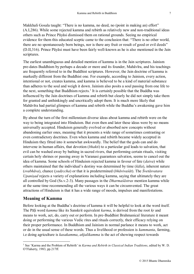Makkhali Gosala taught: "There is no kamma, no deed, no (point in making an) effort" (A.I,286). While some rejected kamma and rebirth as relatively new and non-traditional ideas others such as Prince Pāyāsi dismissed them on rational grounds. Seeing no empirical evidence for them this educated sceptic came to the conclusion that: "There is no other world, there are no spontaneously born beings, nor is there any fruit or result of good or evil deeds" (D.II,316). Prince Pāyāsi must have been fairly well-known as he is also mentioned in the Jain scriptures.

The earliest unambiguous and detailed mention of kamma is in the Jain scriptures. Jainism pre-dates Buddhism by perhaps a decade or more and its founder, Mahāvīra, and his teachings are frequently referred to in the Buddhist scriptures. However, the Jain doctrine of kamma is markedly different from the Buddhist one. For example, according to Jainism, every action, intentional or not, creates kamma, and kamma is believed to be a kind of material substance than adheres to the soul and weigh it down. Jainism also posits a soul passing from one life to the next, something that Buddhism rejects.<sup>1</sup> It is certainly possible that the Buddha was influenced by the Jain doctrines of kamma and rebirth but clearly he did not simply take them for granted and unthinkingly and uncritically adopt them. It is much more likely that Mahāvīra had partial glimpses of kamma and rebirth while the Buddha's awakening gave him a complete understanding.

By about the turn of the first millennium diverse ideas about kamma and rebirth were on the way to being integrated into Hinduism. But even then and later these ideas were by no means universally accepted. Hinduism generally evolved or absorbed new concepts without abandoning earlier ones, meaning that it presents a wide range of sometimes contrasting or even contradictory doctrines. Even when kamma and rebirth became widely accepted in Hinduism they fitted into it somewhat awkwardly. The belief that the gods can and do intervene in human affairs, that devotion (*bhakti*) to a particular god leads to salvation, that evil can be washed away by bathing in sacred rivers, that performing certain rituals, visiting certain holy shrines or passing away in Varanasi guarantees salvation, seems to cancel out the idea of kamma. Some schools of Hinduism rejected kamma in favour of fate (*daiva*) while others maintained that the individual's destiny was determined by time (*kāla*), inherent nature (*svabhāva*), chance (*yadṛccha*) or that it is predetermined (*bhāvivaśāt*). The *Śvetāsvatara Upanisad* rejects a variety of explanations including kamma, saying that ultimately they are all controlled by God (Ss.v.2-3). Many passages in the *Dharmaśāstras* mention kamma while at the same time recommending all the various ways it can be circumvented. The great attractions of Hinduism is that it has a wide range of moods, impulses and manifestations.

#### <span id="page-6-0"></span>**Meaning of Kamma**

Before looking at the Buddha's doctrine of kamma it will be helpful to look at the word itself. The Pāḷi word *kamma* like its Sanskrit equivalent *karma*, is derived from the root *kṛ* and means to work, act, do, carry out or perform. In pre-Buddhist Brahmanical literature it meant doing or performing the various Vedic rites and rituals correctly, their efficacy relying on their proper performance. In Buddhism and Jainism in normal parlance it means to work, act or do in the usual sense of these words. Thus a livelihood or profession is *kammanta*, farming, i.e doing agriculture is *kasakamma*, *añjalikamma* is the act of showing respect towards

<sup>&</sup>lt;u>.</u> <sup>1</sup> See 'Karma and the Problem of Rebirth' in *Karma and Rebirth in Classical Indian Traditions*, edited by W. D. O'Flaherty, 1983, pp.217ff.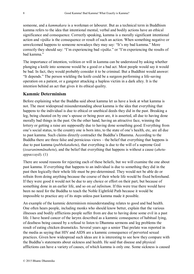someone, and a *kammakara* is a workman or labourer. But as a technical term in Buddhism kamma refers to the idea that intentional mental, verbal and bodily actions have an ethical significance and consequence. Correctly speaking, kamma is a morally significant intentional action and *vipāka* is the consequence or result of such an action. When something negative or unwelcomed happens to someone nowadays they may say: "It's my bad kamma." More correctly they should say: "I'm experiencing bad *vipāka*." or "I'm experiencing the results of bad kamma."

The importance of intention, volition or will in kamma can be understood by asking whether plunging a knife into someone would be a good or a bad act. Most people would say it would be bad. In fact, they would probably consider it to be criminal. But a Buddhist would answer: "It depends." The person wielding the knife could be a surgeon performing a life-saving operation on a patient, or a gangster attacking a hapless victim in a dark alley. It is the intention behind an act that gives it its ethical quality.

#### <span id="page-7-0"></span>**Kammic Determinism**

Before explaining what the Buddha said about kamma let us have a look at what kamma is not. The most widespread misunderstanding about kamma is the idea that everything that happens to the individual is due to ethical or unethical deeds they did in the past. Breaking a leg, being cheated on by one's spouse or being poor are, it is asserted, all due to having done morally bad things in the past. On the other hand, having an attractive face, winning the lottery or getting a raise are supposedly due to having done something good. Everything from one's social status, to the country one is born into, to the state of one's health, etc, are all due to past kamma. Such claims directly contradict the Buddha's Dhamma. According to the Buddha there are three false and pernicious views – the belief that everything that happens is due to past kamma (*pubbekatahetu*), that everything is due to the will of a supreme God (*issaranimmānahetu*), and the belief that everything that happens is without a cause (*ahetuappaccayā*). [\(1\)](#page-36-1)

There are sound reasons for rejecting each of these beliefs, but we will examine the one about past kamma. If everything that happens to an individual is due to something they did in the past then logically their whole life must be pre-determined. They would not be able do or refrain from doing anything because the course of their whole life would be fixed beforehand. If they were good it would not be due to any choice or effort on their part, but because of something done in an earlier life, and so on *ad infinitum*. If this were true there would have been no need for the Buddha to teach the Noble Eightfold Path because it would be impossible to practice any of its steps unless past kamma made it possible.

An example of the kammic determinism misunderstanding relates to good and bad health. One often hears people, including monks who should know better, explain that the various illnesses and bodily afflictions people suffer from are due to having done some evil in a past life. I have heard cancer of the larynx described as a kammic consequence of habitual lying, of deafness being caused by a refusal to listen to Dhamma sermons and leg problems the result of eating chicken drumsticks. Several years ago a senior Thai prelate was reported in the media as saying that HIV and AIDS are a kammic consequence of perverted sexual practices. Given how widespread such ideas are it is interesting to see how they compare with the Buddha's statements about sickness and health. He said that disease and physical afflictions can have a variety of causes, of which kamma is only one. Some sickness is caused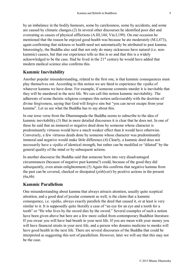by an imbalance in the bodily humours, some by carelessness, some by accidents, and some are caused by climatic changes.[\(2\)](#page-36-2) In several other discourses he identified poor diet and overeating as causes of physical afflictions (A.III,144; Vin.I,199). On one occasion he mentioned that the reason he enjoyed good health was because he ate moderately (M.I,473), again confirming that sickness or health need not automatically be attributed to past kamma. Interestingly, the Buddha also said that not only do many sicknesses have natural (i.e. nonkammic) causes, but that our experience tells us this is so and that this is a widely acknowledged to be the case. Had he lived in the  $21<sup>st</sup>$  century he would have added that modern medical science also confirms this.

#### <span id="page-8-0"></span>**Kammic Inevitability**

Another popular misunderstanding, related to the first one, is that kammic consequences must play themselves out. According to this notion we are fated to experience the *vipāka* of whatever kamma we have done. For example, if someone commits murder it is inevitable that they will be murdered in the next life. We can call this notion kammic inevitability. The adherents of some theistic religions compare this notion unfavourably with the doctrine of divine forgiveness, saying that God will forgive sins but "you can never escape from your kamma". Let us see what the Buddha has to say about this.

In one terse verse from the Dhammapada the Buddha seems to subscribe to the idea of kammic inevitability.[\(3\)](#page-36-3) But in more detailed discourses it is clear that he does not. In one of these he said that an immoral or negative deed done by someone whose character is predominantly virtuous would have a much weaker effect than it would have otherwise. Conversely, a few virtuous deeds done by someone whose character was predominantly immoral and negative would make little difference.[\(4\)](#page-36-4) Clearly, a kammic deed does not necessarily have a *vipāka* of identical strength, but rather can be modified or "diluted" by the general quality of the mind or by subsequent actions.

In another discourse the Buddha said that someone born into very disadvantaged circumstances (because of negative past kamma?) could, because of the good they did subsequently, even attain enlightenment.[\(5\)](#page-37-0) Again this confirms that negative kamma from the past can be covered, checked or dissipated (*pithīyati*) by positive actions in the present [\(6a](#page-38-0)[,6b\)](#page-38-1)

#### <span id="page-8-1"></span>**Kammic Parallelism**

One misunderstanding about kamma that always attracts attention, usually quite sceptical attention, and a good deal of jocular comment as well, is the claim that a kammic consequence, i.e. *vipāka*, always exactly parallels the deed that caused it, or at least is very similar to it. It is supposedly quite literally a case of "an eye for an eye and a tooth for a tooth" or "He who lives by the sword dies by the sword." Several examples of such a notion have been given above but here are a few more culled from contemporary Buddhist literature. If you swear you will have bad breath in your next life. If you are mean with your money you will have financial straits in your next life, and a person who donates medicine to monks will have good health in the next life. There are several discourses of the Buddha that could be interpreted as suggesting this sort of parallelism. However, later we will see that this may not be the case.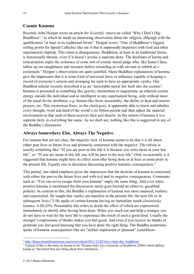#### <span id="page-9-0"></span>**Cosmic Kamma**

Recently John Horgan wrote an article for *Scientific American* called 'Why I Don't Dig-Buddhism'.<sup>2</sup> in which he made an interesting observation about the religion, although with the qualification "at least in its traditional forms". Horgan wrote: "One of Buddhism's biggest selling points for lapsed Catholics like me is that it supposedly dispenses with God and other supernatural claptrap. This claim is disingenuous. Buddhism, at least in its traditional forms, is functionally theistic, even if it doesn't invoke a supreme deity. The doctrines of karma and reincarnation imply the existence of some sort of cosmic moral judge who, like Santa Claus, tallies up our naughtiness and niceness before rewarding us with nirvana or rebirth as a cockroach." Horgan's observations are quite justified. Many Buddhist explanations of kamma give the impression that it is some kind of universal force or influence capable of keeping a record of everyone's actions and arranging for each to have an appropriate *vipāka*. One Buddhist scholar recently described it as an "inexorable moral law built into the cosmos". Kamma is presented as something like gravity, momentum or magnetism; an ethereal cosmic energy outside the individual and as intelligent as any supernatural being, only without most of the usual divine attributes; e.g. human-like form, personality, the ability to hear and answer prayers, etc. This mysterious force, so the claim goes, is apparently able to know and tabulate every thought, word and deed of the world's six billion people and then adjust the material environment so that each of them receives their just deserts. In this notion of kamma it is a supreme deity in everything but name. As we shall see, nothing like this is suggested in any of the Buddha's discourses.

#### <span id="page-9-1"></span>**Always Somewhere Else, Always The Negative**

For reasons that are not clear, the majority view of kamma seems to be that it is all about either past lives or future lives and primarily concerned with the negative. The refrain is usually something like: "If you are poor in this life it is because you were mean in your last life", or: "If you are mean in this life you will be poor in the next life." Only occasionally is it suggested that kamma might have its effect soon after being done or at least at some point in the present life. Equally rare is discourse discussing positive kammic consequences.<sup>3</sup>

This partial, one-sided emphasis gives the impression that the doctrine of kamma is concerned with either the past or the future lives and with evil and its negative consequences. Comments such as: "You can never escape from your kamma" imply the same thing. And even when positive kamma is mentioned the discussions rarely goes beyond an either/or, good/bad polarity. In contrast to this, the Buddha's explanation of kamma was more nuanced, realistic and experiential. He taught that *vipāka* can manifest in the present life, the next life or in subsequent lives.[\(7\)](#page-39-0) He spoke of certain kamma having an immediate result (*ānantarika kamma*, A.III, 439). Presumably this refers to deeds the effect of which are experienced immediately or shortly after having been done. When you reach out and help a stranger you do not have to wait for the next life to experience the result of such a good deed. Usually the stranger's expressions of thanks makes you feel good. And even if you receive no thanks or gratitude you feel good knowing that you have done the right thing. The Buddha sometimes spoke of kammic consequences that are "neither unpleasant or pleasant" (*adukkham-*

1

<sup>2</sup> [http://blogs.scientificamerican.com/cross-check/2011/12/02/why-i-dont-dig-](http://blogs.scientificamerican.com/cross-check/2011/12/02/why-i-dont-dig-%20buddhism/) buddhism/

<sup>3</sup> Typical of this is the entry on karma in the Thomas Gale *Encyclopaedia of Buddhism* (2004) which defines karma as "the belief that acts bring about their retribution…"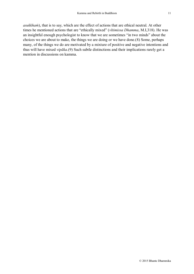*asukkhaṁ*), that is to say, which are the effect of actions that are ethical neutral. At other times he mentioned actions that are "ethically mixed" (*vītimissa Dhamma*, M.I,318). He was an insightful enough psychologist to know that we are sometimes "in two minds" about the choices we are about to make, the things we are doing or we have done.[\(8\)](#page-39-1) Some, perhaps many, of the things we do are motivated by a mixture of positive and negative intentions and thus will have mixed *vipāka*.[\(9\)](#page-39-2) Such subtle distinctions and their implications rarely get a mention in discussions on kamma.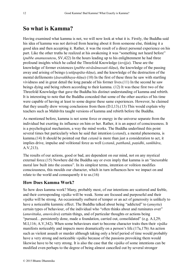# <span id="page-11-0"></span>**So what is Kamma?**

Having examined what kamma is not, we will now look at what it is. Firstly, the Buddha said his idea of kamma was not derived from hearing about it from someone else, thinking it a good idea and then accepting it. Rather, it was the result of a direct personal experience on his part. Like the other truths he realized at his awakening it was "something not heard before" (*pubbe ananussutesu*, SV,422) In the hours leading up to his enlightenment he had three profound insights which he called the Threefold Knowledge (*tevijja*). These are the knowledge of former existences (*pubbe-nivāsānussati-ñāṇa*), the knowledge of the passing away and arising of beings (*cutūpapāta-ñāṇa*), and the knowledge of the destruction of the mental defilements (*āsavakkhaya-ñāṇa*) [\(10\)](#page-39-3) In the first of these three he saw with startling vividness and in great detail the long parade of his former lives.[\(11\)](#page-39-4) In the second he saw beings dying and being reborn according to their kamma. [\(12\)](#page-40-0) It was these first two of the Threefold Knowledge that gave the Buddha his distinct understanding of kamma and rebirth. It is interesting to note that the Buddha conceded that some of the other ascetics of his time were capable of having at least to some degree these same experiences. However, he claimed that they usually drew wrong conclusions from them (D.I,13).[\(13\)](#page-40-1) This would explain why teachers such as Mahāvīra taught versions of kamma and rebirth before the Buddha.

As mentioned before, kamma is not some force or energy in the universe separate from the individual but exerting its influence on him or her. Rather, it is an aspect of consciousness. It is a psychological mechanism, a way the mind works. The Buddha underlined this point several times but particularly when he said that intention (*cetanā*), a mental phenomena, is kamma.[\(14\)](#page-40-2) It should be pointed out that *cetanā* is more than just a consideration to act, it implies drive, impulse and volitional force as well (*cetanā*, *patthanā*, *paṇidhi*, *sankhāra*, A.V,213).

The results of our actions, good or bad, are dependent on our mind, not on any mystical external force.[\(15](#page-40-3)) Nowhere did the Buddha say or even imply that kamma is an "inexorable moral law built into the cosmos". In its simplest terms, intention or volition modifies consciousness, this moulds our character, which in turn influences how we impact on and relate to the world and consequently it to us.[\(16\)](#page-40-4)

#### <span id="page-11-1"></span>**How Does Kamma Work?**

So how does kamma work? Many, probably most, of our intentions are scattered and feeble, and their corresponding *vipāka* will be weak. Some are focused and purposeful and their *vipāka* will be strong. An occasionally outburst of temper or an act of generosity is unlikely to have a noticeable kammic effect. The Buddha talked about being "addicted" to (*anuytta*) certain types of behaviour, of the individual who "often thinks about and ruminates over" (*anuvittaka*, *anuvicāra*) certain things, and of particular thoughts or actions being "pursued…persistently done, made a foundation, carried out, consolidated" (e.g. A.I,29; M.I,116; A.V,342). When some behaviours start to become character traits then their *vipāka* manifests noticeably and impacts more dramatically on a person's life.([17a,](#page-40-5)[17b\)](#page-41-0) An action such as violent assault or murder although taking only a brief period of time would probably have a very strong and noticeable *vipāka* because of the passions provoking them would likewise have to be very strong. It is also the case that the *vipāka* of some intentions can be modified even perhaps to the degree of being almost cancelled out by several stronger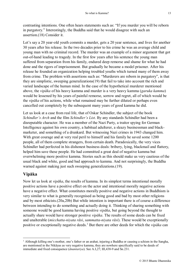contrasting intentions. One often hears statements such as: "If you murder you will be reborn in purgatory." Interestingly, the Buddha said that he would disagree with such an assertion.[\(18\)](#page-41-1) Consider it.

Let's say a 20 year-old youth commits a murder, gets a 20 year sentence, and lives for another 30 years after his release. In the two decades prior to his crime he was an average child and young man with no criminal record. The murder was an example of a minor argument that got out-of-hand leading to tragedy. In the first few years after his sentence the young man suffered from separation from his family, endured deep remorse and shame for what he had done and the rigors of imprisonment. But gradually he became a model prisoner. After his release he founded an organization helping troubled youths which turned many of them away from crime. The problem with assertions such as: "Murderers are reborn in purgatory", is that they are simplistic, sweeping generalizations[\(19\)](#page-41-2) that fail to take into account the rich and varied landscape of the human mind. In the case of the hypothetical murderer mentioned above, the *vipāka* of his heavy kamma and murder is a very heavy kamma (*garuka kamma*) would be lessened by his years of painful remorse, sorrow and regret, all of which would be the *vipāka* of his actions, while what remained may be further diluted or perhaps even cancelled out completely by the subsequent many years of good kamma he did.

Let us look at a case from real life, that of Oskar Schindler, the subject of the book *Schindler's Arch* and the film *Schindler's List*. By any standards Schindler had been a disreputable character. He was a member of the Nazi Party, a traitor spying for German Intelligence against his own country, a habitual adulterer, a sleazy businessman and blackmarketer, and something of a drunkard. But witnessing Nazi crimes in 1943 changed him. With great courage and at very real peril to himself and his family he saved some 1200 people, all of them complete strangers, from certain death. Paradoxically, the very vices Schindler had perfected in his dishonest business deals: bribery, lying, blackmail and flattery, helped him save these people. He had committed a great deal of negative kamma but overwhelming more positive kamma. Stories such as this should make us very cautious of the usual black and white, good and bad approach to kamma. And not surprisingly, the Buddha warned against making just such sweeping generalizations. [\(19\)](#page-41-2).

#### <span id="page-12-0"></span>**Vipāka**

1

Now let us look at *vipāka*, the results of kamma. In its simplest terms intentional morally positive actions have a positive effect on the actor and intentional morally negative actions have a negative effect. What constitutes morally positive and negative actions in Buddhism is very similar to what is generally recognised as being good and bad by most other religions and by most ethicists.[\(20a](#page-43-0)[,20b\)](#page-43-1) But while intention is important there is of course a difference between intending to do something and actually doing it. Thinking of sharing something with someone would be good kamma having positive *vipāka*, but going beyond the thought to actually share would have stronger positive *vipāka*. The results of some deeds can be fixed and unalterable (*micchatta-niyata rāsi*, *sammatta-niyata rāsi*). These would be exceptionally positive or exceptionally negative deeds.<sup>1</sup> But there are other deeds for which the *vipāka* can

<sup>&</sup>lt;sup>1</sup> Although killing one's mother, one's father or an arahat, injuring a Buddha or causing a schism in the Sangha, are mentioned in the Nikāyas as very negative kamma, they are nowhere specifically said to be deeds of immediate and fixed consequence (*ānantariya*). See A.I,27; III,438-9 and Sn.231.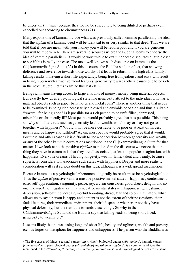be uncertain (*aniyata*) because they would be susceptible to being diluted or perhaps even cancelled out according to circumstances.[\(21\)](#page-44-0)

Many expositions of kamma include what was previously called kammic parallelism, the idea that the *vipāka* of a kammic deed will be identical to or very similar to that deed. Thus we are told that if you are mean with your money you will be reborn poor and if you are generous you will be reborn rich. There are several discourses where the Buddha seems to endorse the idea of kammic parallelism. It would be worthwhile to examine these discourses a little closer to see if this is really the case. The most well-known such discourse on kamma is the Cūḷakammavibaṅgha Sutta.[\(22\)](#page-44-1) In this discourse the Buddha said, in effect, that showing deference and reverence towards those worthy of it leads to rebirth into a high class family, killing results in having a short life expectancy, being free from jealousy and envy will result in being reborn with attractive facial features, generosity towards others causes one to be rich in the next life, etc. Let us examine this last claim.

Being rich means having access to large amounts of money, money being material objects. But exactly how does a psychological state like generosity attract to the individual who has it material objects such as paper bank notes and metal coins? There is another thing that needs to be examined. Is being rich necessarily a blessed and enviable condition and thus a suitable "reward" for being good? Is it possible for a rich person to be unfulfilled, depressed, miserable or chronically ill? Most people would probably agree that it is possible. This being so, why should a virtue such as generosity lead to wealth, which may or may not go to together with happiness? Would it not be more desirable to be poor or at least of modest means and be happy and fulfilled? Again, most people would probably agree that it would. For these and other reasons it is difficult to see a connection between generosity and wealth, or any of the other kammic correlations mentioned in the Cūḷakammavibaṅgha Sutta for that matter. If we look at all the positive *vipākas* mentioned in the discourse we notice that one thing they have in common is that they are all associated, at least in popular imagination, with happiness. Everyone dreams of having longevity, wealth, fame, talent and beauty, because superficial consideration associates such states with happiness. Deeper and more realistic consideration will cast serious doubt on this idea, although it is a widespread assumption.

Because kamma is a psychological phenomena, logically its result must be psychological too.<sup>2</sup> Thus the *vipāka* of positive kamma must be positive mental states – happiness, contentment, ease, self-appreciation, sanguinity, peace, joy, a clear conscious, good cheer, delight, and so on. The *vipāka* of negative kamma is negative mental states – unhappiness, guilt, shame, depression, self-loathing, despair, morbid brooding, dread, fear and so on. Ultimately, what allows us to say a person is happy and content is not the extent of their possessions, their facial features, their immediate environment, their lifespan or whether or not they have a physical deformity, but their attitude towards these things. So why in the Cūḷakammavibaṅgha Sutta did the Buddha say that killing leads to being short-lived, generosity to wealth, etc?

It seems likely that he was using long and short life, beauty and ugliness, wealth and poverty, etc., as tropes or metaphors for happiness and unhappiness. The person who the Buddha was

1

<sup>2</sup> The five causes of things; seasonal causes (*utu-niyāma*), biological causes (*bīja-niyāma*), kammic causes (*kamma-niyāma*), psychological causes (*citta-niyāma*) and (*dhamma-niyāma*); is a commentarial idea first mentioned in the *Atthasālinī*, 5<sup>th</sup> century CE. In reality, kammic causes and psychological causes are the same.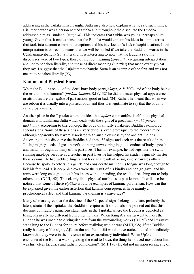addressing in the Cūḷakammavibaṅgha Sutta may also help explain why he said such things. His interlocutor was a person named Subha and throughout the discourse the Buddha addressed him as "student" (*māṇava*). This indicates that Subha was young, perhaps quite young. Given this, it makes sense that the Buddha would explain his ideas in simple terms that took into account common perceptions and his interlocutor's lack of sophistication. If this interpretation is correct, it means that we will be misled if we take the Buddha's words in the Cūḷakammavibaṅgha Sutta literally. It is interesting to note that the Buddha said his discourses were of two types, those of indirect meaning (*neyyattha*) requiring interpretation and not to be taken literally, and those of direct meaning (*nītattha*) that mean exactly what they say. I suggest that the Cūḷakammavibaṅgha Sutta is an example of the first and was not meant to be taken literally.[\(23\)](#page-45-0)

#### <span id="page-14-0"></span>**Kamma and Physical Form**

When the Buddha spoke of the deed-born body (*karajakāya*, A.V,300), and of the body being the result of "old kamma" (*purāṇa-kamma*, S.IV,132) he did not mean physical appearances or attributes are the *vipāka* of past actions good or bad. [\(24\)](#page-45-1) Rather, he meant that when we are reborn it is usually into a physical body and thus it is legitimate to say that the body is caused by kamma.

Another place in the Tipiṭaka where the idea that *vipāka* can manifest itself in the physical domain is in Lakkhaṇa Sutta which deals with the signs of a great man (*mahā-purisalakkhana*). According to this concept, the body of all fully awakened Buddhas exhibit 32 special signs. Some of these signs are very curious, even grotesque, to the modern mind, although apparently they were associated with auspiciousness by the ancient Indians. According to this discourse the Buddha had these 32 signs and each was the result of him "doing mighty deeds of great benefit, of being unwavering in good conduct of body, speech and mind" throughout many of his past lives. Thus for example, he had legs like the swiftrunning antelope because as a teacher in past lives he has helped his students quickly master their lessons. He had webbed fingers and toes as a result of acting kindly towards others. Because he spoke to others in a gentle and considerate manner his tongue was long enough to lick his forehead. His deep blue eyes were the result of his kindly and benign gaze, and his arms were long enough to touch his knees without bending, the result of reaching out to help others, etc. (D.III,142). This clearly links physical attributes to past kamma. It will also be noticed that some of these *vipākas* would be examples of kammic parallelism. How can this be explained given the earlier assertion that kamma consequences have mainly a psychological affect and that kammic parallelism is a naive idea?

Many scholars agree that the doctrine of the 32 special signs belongs to a late, probably the latest, strata of the Tipitaka, the Buddhist scriptures. It should also be pointed out that this doctrine contradicts numerous statements in the Tipitaka where the Buddha is depicted as being physically no different from other humans. When King Ajatasattu went to meet the Buddha he was unable to distinguish him from the surrounding monks (D.I,50) and Pukkusāti sat talking to the Buddha for hours before realizing who he was (M.III,238). If the Buddha really had any of the signs, Ajātasatthu and Pukkusāti would have noticed it and immediately known that they were in the presence of an extraordinary individual. When Upāka encountered the Buddha walking along the road to Gaya, the thing he noticed most about him was his "clear faculties and radiant complexion". (M.1,170) He did not mention seeing any of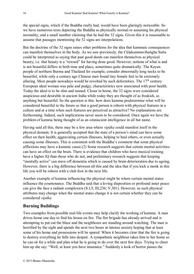the special signs, which if the Buddha really had, would have been glaringly noticeable. So we have numerous texts depicting the Buddha as physically normal or assuming his physical normality, and a small number claiming that he had the 32 signs. Given this it is reasonable to assume that passages mentioning the 32 signs are interpolations.

But the doctrine of the 32 signs raises other problems for the idea that kammaic consequences can manifest themselves in the body. As we saw previously, the Cūḷakammavibaṅgha Sutta could be interpreted as saying that past good deeds can manifest themselves as physical beauty, i.e. that beauty is a "reward" for having done good. However, notions of what is and is not beautiful differs in both time and place, sometimes quite dramatically. The Kayan people of northern Burma and Thailand for example, consider abnormally long necks to be beautiful, while only a century ago Chinese men found tiny female feet to be extremely alluring. Most people nowadays would be revolted by such deformities. The 17<sup>th</sup> century European ideal woman was pale and pudgy, characteristics now associated with poor health. Today the ideal is to be slim and tanned. Closer to home, the 32 signs were considered auspicious and desirable in ancient India while today they are thought of as freakish, as anything but beautiful. So the question is this: how does kamma predetermine what will be considered beautiful in the future so that a good person is reborn with physical features in a culture and at a time when such features are perceived as attractive? No explanations are forthcoming. Indeed, such implications never seem to be considered. Once again we have the problem of kamma being thought of as an omniscient intelligence in all but name.

Having said all this, there may be a few area where *vipāka* could manifest itself in the physical domain. It is generally accepted that the state of a person's mind can have some effect on their health; aggravating certain illnesses, helping to heal others, or even actually causing some illnesses. This is consistent with the Buddha's comment that some physical afflictions may have a kammic cause.[\(2\)](#page-36-2) Some research suggests that certain mental activities can have an effect on the brain. There is evidence that children who have musical training have a higher IQ than those who do not, and preliminary research suggests that keeping "mentally active" can stave off dementia which is caused by brain deterioration due to ageing. However, there is a big difference between all this and the idea that if you kick a monk in this life you will be reborn with a club foot in the next life.

Another example of kamma influencing the physical might be where certain mental states influence the countenance. The Buddha said that a loving disposition or profound inner peace can give the face a radiant complexion (S.I,5; III,236; V,301). However, as such physical attributes may change when the mental states change it is not certain whether they can be considered *vipāka*.

#### <span id="page-15-0"></span>**Burning Buildings**

Two examples from possible real-life events may help clarify the working of kamma. A man drives home one day to find his house on fire. The fire brigade has already arrived and is attempting to put out the blaze and the neighbours are standing around watching. The man is horrified by the sight and spends the next two hours in intense anxiety hoping that at least some of his home and possessions will be spared. When it becomes clear that the fire is going to destroy everything he falls into despair. A sympathetic neighbour takes him to her home so he can sit for a while and plan what he is going to do over the next few days. Trying to cheer him up she say: "Well, at least you have insurance." Suddenly a look of horror passes the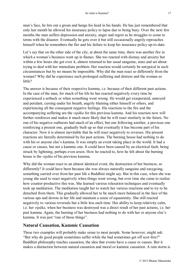man's face, he lets out a groan and hangs his head in his hands. He has just remembered that only last month he allowed his insurance policy to lapse due to being busy. Over the next few months the man suffers depression and anxiety, anger and regret as he struggles to come to terms with the disaster. Eventually he gets over it but still occasionally angrily reproaches himself when he remembers the fire and his failure to keep his insurance policy up-to-date.

Let's say that on the other side of the city, at about the same time, there was another fire in which a woman's business went up in flames. She too reacted with dismay and anxiety but within a few hours she got over it, almost returned to her usual sanguine, state and set about trying to deal with her immediate problem. Her reaction would certainly be untypical in such circumstances but by no means be impossible. Why did the man react so differently from the woman? Why did he experience such prolonged suffering and distress and the woman so little?

The answer is because of their respective kamma, i.e. because of their different past actions. In the case of the man, for much of his life he has reacted negatively every time he experienced a setback or when something went wrong. He would get exasperated, annoyed and petulant, cursing under his breath, angrily blaming either himself or others, and experiencing all the consequent negative feelings. His reactions to the fire and the accompanying suffering are the *vipāka* for this previous kamma. And his reaction now will further reinforces and makes it much more likely that he will react similarly in the future. No one of his negative outbursts had much of an effect, but one following another, a previous one reinforcing a present one, gradually built up so that eventually it has become part of his character. Now it is almost inevitable that he will react negatively to reverses. His present reactions are literally determined by his past actions. The burning house had nothing to do with his or anyone else's kamma. It was simply an event taking place in the world. It had a cause or causes, but not a kammic one. It could have been caused by an electrical fault, being struck by lightning, perhaps even arson. How he reacted to, how he felt about the burning house is the *vipāka* of his previous kamma.

Why did the woman react to an almost identical event, the destruction of her business, so differently? It could have been because she was always naturally sanguine and easygoing, something carried over from her past life a Buddhist might say. But in this case, when she was young she used to react negatively when things went wrong, but over time she came to realize how counter-productive this was. She learned various relaxation techniques and eventually took up meditation. The meditation taught her to watch her various reactions and to try to be detached from them. This gradually allowed her to be much more balanced in the face of the various ups and downs in her life and maintain a sense of equanimity. She still reacted negatively to various reversals but a little less each time. Her ability to keep relativity calm, i.e. her *vipāka*, when her business was destroyed was a direct result of her past actions, i.e. her past kamma. Again, the burning of her business had nothing to do with her or anyone else's kamma. It was just "one of those things".

#### <span id="page-16-0"></span>**Natural Causation, Kammic Causation**

These two examples will probably make sense to most people. Some however, might ask: "But why do good people sometimes suffer while the bad sometimes get off scot-free?" Buddhist philosophy teaches causation, the idea that events have a cause or causes. But it makes a distinction between natural causation and moral or kammic causation. A rain storm is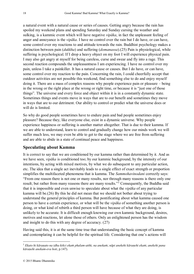a natural event with a natural cause or series of causes. Getting angry because the rain has spoiled my weekend plans and spending Saturday and Sunday cursing the weather and sulking, is a kammic event which will have negative *vipāka*, in fact the unpleasant feeling of anger and annoyance is the *vipāka*. I have no control over the rain but I do have, or can have, some control over my reactions to and attitude towards the rain. Buddhist psychology makes a distinction between pain (*dukkha*) and suffering (*domanassa*).[\(25\)](#page-45-2) Pain is physiological, while suffering is psychological. If I drop a heavy object on my foot I will experience physical pain. I may also get angry at myself for being careless, curse and swear and fly into a rage. This second reaction compounds the unpleasantness I am experiencing. I have no control over my pain, unless I take a painkiller. It has a natural cause or causes. But I do have, or can have, some control over my reaction to the pain. Concerning the rain, I could cheerfully accept that outdoor activities are not possible this weekend, find something else to do and enjoy myself doing it. There are a mass of complex reasons why people experience pain or pleasure – being in the wrong or the right place at the wrong or right time, or because it is "just one of those things". The universe and every force and object within it is in a constantly dynamic state. Sometimes things and events move in ways that are to our benefit and sometimes they move in ways that are to our detriment. Our ability to control or predict what the universe does or will do is limited.

So why do good people sometimes have to endure pain and bad people sometimes enjoy pleasure? Because they, like everyone else, exist in a dynamic universe. Why people experience happiness or suffering is another matter altogether. That is due to their kamma. If we are able to understand, learn to control and gradually change how our minds work we will suffer much less, we may even be able to get to the stage where we are free from suffering and are able to abide in a state of continual peace and happiness.

#### <span id="page-17-0"></span>**Speculating about Kamma**

It is correct to say that we are conditioned by our kamma rather than determined by it. And as we have seen, *vipāka* is conditioned too; by our kammic background, by the intensity of our intentions, by acting with mixed motives, by what we do subsequent to any particular action, etc. The idea that a single act inevitably leads to a single effect of exact strength or proportion simplifies the multifaceted phenomena that is kamma. The *Sammohavinodani* correctly says: "From one reason there is not one or many results, nor through many reasons is there only one result; but rather from many reasons there are many results."<sup>3</sup> Consequently, the Buddha said that it is impossible and even unwise to speculate about what the *vipāka* of any particular kamma will be.[\(26\)](#page-45-3) By this he did not mean that we should not bother about trying to understand the general principles of kamma. But pontificating about what kamma caused one person to have a certain experience, or what will be the *vipāka* of something another person is doing, or what kind of rebirth a third person will have because of what they are doing, is unlikely to be accurate. It is difficult enough knowing our own kammic background, desires, motives and reactions, let alone those of others. Only an enlightened person has the wisdom and insight to do this with any degree of accuracy. [\(27\)](#page-46-0)

Having said this, it is at the same time true that understanding the basic concept of kamma and contemplating it can be helpful for the spiritual life. Considering that one's actions will

<u>.</u>

<sup>3</sup> *Ekato hi kāraṇato na idha kiñci ekaṁ phalam-atthi, na anekaṁ*; *nāpi anekehi kāraṇehi ekaṁ*; *anekehi pana kāraṇehi anekam-eva hoti*, p.147).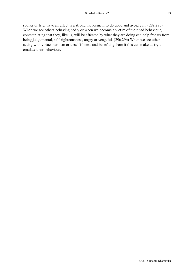sooner or later have an effect is a strong inducement to do good and avoid evil. [\(28a,](#page-47-0)[28b\)](#page-47-1) When we see others behaving badly or when we become a victim of their bad behaviour, contemplating that they, like us, will be affected by what they are doing can help free us from being judgemental, self-righteousness, angry or vengeful. [\(29a,](#page-48-0)[29b\)](#page-48-1) When we see others acting with virtue, heroism or unselfishness and benefiting from it this can make us try to emulate their behaviour.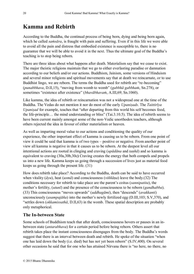# <span id="page-19-0"></span>**Kamma and Rebirth**

According to the Buddha, the continual process of being born, dying and being born again, which he called *saṁsāra*, is fraught with pain and suffering. Even if in this life we were able to avoid all the pain and distress that embodied existence is susceptible to, there is no guarantee that we will be able to avoid it in the next. Thus the ultimate goal of the Buddha's teaching is to stop being reborn.

There are three ideas about what happens after death. Materialism say that we cease to exist. The major theistic religions maintain that we go to either everlasting paradise or damnation according to our beliefs and/or our actions. Buddhism, Jainism, some versions of Hinduism and several minor religions and spiritual movements say that at death we reincarnate, or to use Buddhist lingo, we are reborn. The terms the Buddha used for rebirth are "re-becoming" (*punabbhava*, D.II,15), "moving from womb to womb" (*gabbhā gabbhaṁ*, Sn.278), or sometimes "existence after existence" (*bhavābhavaṁ*, A.III,69; Sn.1060).

Like kamma, the idea of rebirth or reincarnation was not a widespread one at the time of the Buddha. The Vedas do not mention it nor do most of the early *Upaniṣads*. The *Taittirīya Upaniṣad* for example, teaches that "after departing from this world his self becomes food, the life-principle… the mind understanding or bliss" (Tai.3.10.5). The idea of rebirth seems to have been current mainly amongst some of the non-Vedic unorthodox teachers, although others rejected the idea in favour of either materialism or heaven.

As well as imparting moral value to our actions and conditioning the quality of our experience, the other important effect of kamma is causing us to be reborn. From one point of view it could be said that kamma is of two types – positive or negative. From another point of view all kamma is negative in that it causes us to be reborn. At the deepest level all our intentional actions are rooted in clinging and craving (*upādāna* and *taṇhā*) and so kamma is equivalent to craving [\(30a,](#page-48-2)[30b,](#page-48-3)[30c](#page-49-0)**)** Craving creates the energy that both compels and propels us into a new life. Kamma keeps us going through a succession of lives just as material food keeps us going through the present life. [\(31\)](#page-49-1)

How does rebirth take place? According to the Buddha, death can be said to have occurred when vitality (*āyu*), heat (*usmā*) and consciousness (*viññāṇa*) leave the body.[\(32\)](#page-49-2) The conditions necessary for rebirth to take place are the parent's coitus (*sannipatita*), the mother's fertility, (*utunī*) and the presence of the consciousness to be reborn (*gandhabba*). [\(33](#page-49-3)) This consciousness "moves upwards" (*uddhagāmi*), then "descends" (*avakkanti*) unconsciously (*asampajāña*) into the mother's newly fertilized egg (D.III,103; S.V,370), and "settles down (*okkamissathā*, D.II,63) in the womb. These spatial description are probably only metaphorical.

#### <span id="page-19-1"></span>**The In-between State**

Some schools of Buddhism teach that after death, consciousness hovers or pauses in an inbetween state (*antarabhava*) for a certain period before being reborn. Others assert that rebirth takes place the instant consciousness disengages from the body. The Buddha's words suggest that there is an interval between death and rebirth. He spoke of the situation "when one has laid down the body (i.e. died) but has not yet been reborn" (S.IV,400). On several other occasions he said that for one who has attained Nirvana there is "no here, no there, no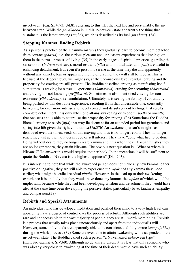in-between" (e.g. S.IV,73; Ud.8), referring to this life, the next life and presumably, the inbetween state. While the *gandhabba* is in this in-between state apparently the thing that sustains it is the latent craving (*taṇha*), which is described as its fuel (*upādāna*). [\(34\)](#page-49-4)

#### <span id="page-20-0"></span>**Stopping Kamma, Ending Rebirth**

As a person's practice of the Dhamma matures they gradually learn to become more detached from contact (*phassa*), i.e. the various pleasant and unpleasant experiences that impinge on them in the normal process of living. [\(35\)](#page-50-0) In the early stages of spiritual practice, guarding the sense doors (*indriya-saṁvara*), moral restraint (*sīla*) and mindful attention (*sati*) are useful to enhancing detachment. But even if a person is serene at the time they die and apparently without any anxiety, fear or apparent clinging or craving, they will still be reborn. This is because at the deepest level, we might say, at the unconscious level, residual craving and the propensity for craving are still present. The Buddha described craving as manifesting itself sometimes as craving for sensual experiences (*kāmāsava*), craving for becoming (*bhavāsana*) and craving for not knowing (*avijjāsava*). Sometimes he also mentioned craving for nonexistence (*vibhavāsava*), i.e. annihilation. Ultimately, it is seeing the futility of continually being pushed by this desirable experience, recoiling from that undesirable one, constantly hankering for ever more intense and novel contact and its subsequent feelings, that results in complete detachment. It is only when one attains awakening or freedom (*bodhi* or *vimutti*) that one sees and is able to neutralise the propensity for craving. [\(36](#page-50-1)**)** Sometimes the Buddha likened craving to seeds (*bīja*) that may lie dormant for an extended period but germinate and spring into life given the right conditions.[\(37a,](#page-50-2)[37b](#page-50-3)) An awakened person's insight has destroyed even the tiniest seeds of this craving and thus is no longer reborn. They no longer react, they just act; without desire, ego or self interest. They have "done what had to be done". Being without desire they no longer create kamma and thus when their life-span finishes they are no longer reborn, they attain Nirvana. The obvious next question is: "What or where is Nirvana?" To answer this would require another book. In the meantime it will be sufficient to quote the Buddha: "Nirvana is the highest happiness" (Dhp.203).

It is interesting to note that while the awakened person does not make any new kamma, either positive or negative, they are still able to experience the *vipāka* of any kamma they made earlier; what might be called residual *vipāka*. However, in the lead up to their awakening experience it is unlikely that they would have done any kamma the *vipāka* of which would be unpleasant, because while they had been developing wisdom and detachment they would have also at the same time been developing the positive states, particularly love, kindness, empathy and compassion.[\(38\)](#page-51-0)

#### <span id="page-20-1"></span>**Rebirth and Special Attainments**

An individual who has developed meditation and purified their mind to a very high level can apparently have a degree of control over the process of rebirth. Although such abilities are rare and not accessible to the vast majority of people, they are still worth mentioning. Rebirth is a process that usually takes place unconsciously and apart from the individual's will. However, some individuals are apparently able to be conscious and fully aware (*sampajañña*) during the whole process. [\(39\)](#page-51-1) Some are even able to attain awakening while suspended in the in-between state. The Buddha called such a person "a Nirvanaized in-between type" (*antarāparinibbāyī*, S.V,69). Although no details are given, it is clear that only someone who was already very close to awakening at the time of their death would have such an ability.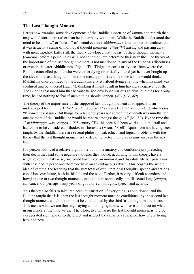#### <span id="page-21-0"></span>**The Last Thought Moment**

Let us now examine some developments of the Buddha's doctrine of kamma and rebirth that may well distort them rather than be in harmony with them. While the Buddha understood the mind to be a "flow" or "stream" of mental events (*viññāṇasota*), later thinkers speculated that it was actually a string of individual thought moments (*cittavīthi*) arising and passing away with great rapidity. Later still, the theory developed that the last of these thought moments (*cuticitta*) before a person dies will, not condition, but determine their next life. The theory of the importance of the last thought moment is not mentioned in any of the Buddha's discourses or even in the later Abhidhamma Piṭaka. The Tipiṭaka records many occasions where the Buddha counselled people who were either dying or critically ill and yet he never bought up the idea of the last thought moment, the most appropriate time to do so one would think. Mahānāma once confided to the Buddha his anxiety about dying at a time when his mind was confused and bewildered (*musati*), thinking it might result in him having a negative rebirth. The Buddha reassured him that because he had developed various spiritual qualities for a long time, he had nothing to fear if such a thing should happen. [\(40\)](#page-51-2) (S.V,369).

The theory of the importance of the supposed last thought moment first appears in an undeveloped form in the *Milindapañha* (approx. 1<sup>st</sup> century  $BCE/2<sup>nd</sup>$  century CE) which says: "If someone did unskilful things for a hundred years but at the time of death was mindful for one moment of the Buddha, he would be reborn amongst the gods." (Mil.80). By the time the *Visuddhimagga* was composed ( $5<sup>th</sup>$  century CE), this idea had been worked out in detail and had come to be considered orthodox in Theravada (Vism.458-60). Apart from not having been taught by the Buddha, there are several philosophical, ethical and logical problems with the theory that the last thought moment is the deciding factor in one's circumstances in the next life.

If a person had lived a relatively good life but in the anxiety and confusion just preceding their death they had some negative thoughts they would, according to this theory, have a negative rebirth. Likewise, one could have lived an immoral and dissolute life but pass away with ease and in peace and therefore have an advantageous rebirth. This negates the whole idea of kamma, the teaching that the sum total of our intentional thoughts, speech and actions conditions our future, both in this life and the next. Further, it is very difficult to understand how just one or two thought moments, each of them supposedly a millisecond long (*khaṇa*), can cancel out perhaps many years of good or evil thoughts, speech and actions.

This theory also fails to take into account causation. If everything is conditioned, and the Buddha taught that it is, then the last thought moment must be conditioned by the second last thought moment which in turn must be conditioned by the third last thought moment, etc. This means what we are thinking, saying and doing right now will have an impact on what is in our minds at the time we die. Therefore, to emphasise the last thought moment is to give exaggerated significance to the effect and neglect the cause or causes, i.e. how one is living here and now.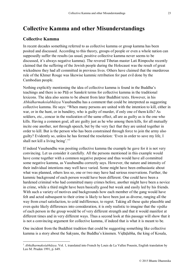# <span id="page-22-0"></span>**Collective Kamma and other Misunderstandings**

#### <span id="page-22-1"></span>**Collective Kamma**

<u>.</u>

In recent decades something referred to as collective kamma or group kamma has been posited and discussed. According to this theory, groups of people or even a whole nation can supposedly suffer the results (as usual, positive collective kamma never seems to be discussed, it's always negative kamma). The revered Tibetan master Lati Rimpoche recently claimed that the suffering of the Jewish people during the Holocaust was the result of great wickedness they had all committed in previous lives. Others have claimed that the murderous rule of the Khmer Rouge was likewise kammic retribution for past evil done by the Cambodian people.

Nothing explicitly mentioning the idea of collective kamma is found in the Buddha's teachings and there is no Pāḷi or Sanskrit terms for collective kamma in the traditional lexicons. The idea also seems to be absent from later Buddhist texts. However, in his *Abhidharmakośabhāsya* Vasubandhu has a comment that could be interpreted as suggesting collective kamma. He says: "When many persons are united with the intention to kill, either in war, or in the hunt, or in banditry, who is guilty of murder, if only one of them kills? As soldiers, etc., concur in the realization of the same effect, all are as guilty as is the one who kills. Having a common goal, all are guilty just as he who among them kills, for all mutually incite one another, not through speech, but by the very fact that they are united together in order to kill. But is the person who has been constrained through force to join the army also guilty? Evidently so, unless he has formed the resolution: 'Even in order to save my life, I shall not kill a living being'."<sup>1</sup>

If indeed Vasabandhu was positing collective kamma the example he gave for it is not very convincing. Let us consider it carefully. All the persons mentioned in this example would have come together with a common negative purpose and thus would have all committed some negative kamma, as Vasubandhu correctly says. However, the nature and intensity of their individual intentions may well have varied. Some might have been enthusiastic about what was planned, others less so, one or two may have had serious reservations. Further, the kammic background of each person would have been different. One could have been a hardened criminal who had committed many crimes before, another might have been a novice in crime, while a third might have been basically good but weak and easily led by his friends. With such a variety of motives and backgrounds how each member of the gang would have felt and acted subsequent to their crime is likely to have been just as diverse, ranging all the way from cruel satisfaction, to cold indifference, to regret. Taking all these quite plausible and even quite likely differences into consideration, it is only realistic to imagine that the *vipāka* of each person in the group would be of very different strength and that it would manifest at different times and in very different ways. Thus a second look at this passage will show that it is not a convincing argument for collective kamma, if indeed that is what it is meant to be.

One incident from the Buddhist tradition that could be suggesting something like collective kamma is a story about the Sakyans, the Buddha's kinsmen. Viḍūḍabha, the king of Kosala,

<sup>1</sup> *Abhidharmakośabhāsya*. Vol. 1, translated into French by Louis de La Vallee Poussin, English translation by Leo M. Pruden 1991, p. 649.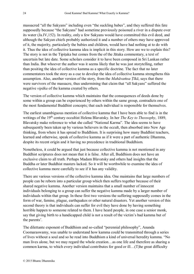massacred "all the Sakyans" including even "the suckling babes", and they suffered this fate supposedly because "the Sakyans" had sometime previously poisoned a river in a dispute over its water (Ja.IV,152). In reality, only a few Sakyans would have committed this evil deed, and although the Sakyan chiefs probably authorized it and a number of others may have approved of it, the majority, particularly the babies and children, would have had nothing at to do with it. Thus the idea of collective kamma idea is implicit in this story. How are we to explain this? The story is not in the Tipiṭaka but comes from the of the Jātaka commentary, a text of uncertain but late date. Some scholars consider it to have been composed in Sri Lankan rather than India. But whoever the author was it seems likely that he was just storytelling, rather than positing the idea of collective kamma as a specific doctrine. The fact that no later commentators took the story as a cue to develop the idea of collective kamma strengthens this assumption. Also, another version of the story, from the *Mahāvaṁsa Ṭīkā*, says that there were survivors of the massacre, thus undermining that claim that "all Sakyans" suffered the negative *vipāka* of the kamma created by others.

The version of collective kamma which maintains that the consequences of deeds done by some within a group can be experienced by others within the same group, contradicts one of the most fundamental Buddhist concepts; that each individual is responsible for themselves.

The earliest unambiguous mention of collective kamma that I have been able to find is in the writings of the 19<sup>th</sup> century occultist Helena Blavatsky. In her *The Key to Theosophy*, 1889, Blavatsky make reference to what she called "National Karma". The idea seems to have subsequently been taken up by various believers in the occult, then absorbed into New Age thinking, from where it has spread to Buddhism. It is surprising how many Buddhist teachers, learned and otherwise, speak of collective kamma as if it were a part of authentic Dhamma, despite its recent origin and it having no precedence in traditional Buddhism.

Nonetheless, it could be argued that just because collective kamma is not mentioned in any Buddhist scriptures does not mean that it is false. After all, Buddhism does not have an exclusive claim to all truth. Perhaps Madam Blavatsky and others had insights that the Buddha or later Buddhist masters lacked. So it will be worthwhile to examine the idea of collective kamma more carefully to see if it has any validity.

There are various versions of the collective kamma idea. One maintains that large numbers of people can be reborn into a particular group which then suffers together because of their shared negative kamma. Another version maintains that a small number of innocent individuals belonging to a group can suffer the negative kamma made by a larger number of individuals within that group. In these first two versions the suffering supposedly comes in the form of war, famine, plague, earthquakes or other natural disasters. Yet another version of this second theory is that individuals can suffer for evil they have done by having something horrible happen to someone related to them. I have heard people, in one case a senior monk, say that giving birth to a handicapped child is not a result of the victim's bad kamma but of the parents'.

The dilettante exponent of Buddhism and so-called "perennial philosophy", Ananda Coomaraswamy, was unable to understand how kamma could be transmitted through a series of lives without a soul and so he read into Buddhism a kind of universal heredity kamma. "No man lives alone, but we may regard the whole creation…as one life and therefore as sharing a common karma, to which every individual contributes for good or ill…(T)he great difficulty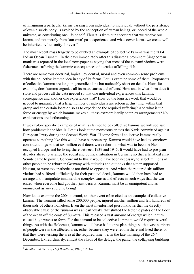of imagining a particular karma passing from individual to individual, without the persistence of even a subtle body, is avoided by the conception of human beings, or indeed of the whole universe, as constituting one life or self. Thus it is from our ancestors that we receive our karma, and not merely from 'our own' past experience; and whatsoever karma we create will be inherited by humanity for ever."<sup>2</sup>

The most recent mass tragedy to be dubbed an example of collective kamma was the 2004 Indian Ocean Tsunami. In the days immediately after this disaster a prominent Singaporean monk was reported in the local newspaper as saying that most of the tsunami victims were fishermen suffering the kammic consequences of decades of killing fish.

There are numerous doctrinal, logical, evidential, moral and even common sense problems with the collective kamma idea in any of its forms. Let us examine some of them. Proponents of collective kamma are long on generalizations but noticeably short on details. How, for example, does kamma organize all its mass causes and effects? How and in what form does it store and process all the data needed so that one individual experiences this kammic consequence and another one experiences that? How do the logistics work that would be needed to guarantee that a large number of individuals are reborn at this time, within that group and at a certain location so as to experience the required suffering? And what is the force or energy by which kamma makes all these extraordinarily complex arrangements? No explanations are forthcoming.

If we explore specific examples of what is claimed to be collective kamma we will see just how problematic the idea is. Let us look at the monstrous crimes the Nazis committed against European Jewry during the Second World War. If some form of collective kamma really operates something like this would have be necessary. Kamma would have had to somehow construct things so that six million evil-doers were reborn in what was to become Nazi occupied Europe and be living there between 1939 and 1945. It would have had to pre-plan decades ahead to arrange the social and political situation in Germany so that a fanatical anti-Semite came to power. Concordant to this it would have been necessary to select millions of other people to be reborn in Germany with attitudes and outlooks that either supported Nazism, or were too apathetic or too timid to oppose it. And when the required six million victims had suffered sufficiently for their past evil deeds, kamma would then have had to arrange and manipulate innumerable complex causes and effects in such ways that the war ended when everyone had got their just deserts. Kamma must be as omnipotent and as omniscient as any supreme being!

Now let us examine the 2004 tsunami, another event often cited as an example of collective kamma. The tsunami killed some 200,000 people, injured another million and left hundreds of thousands of others homeless. Even the most ill-informed person knows that the directly observable cause of the tsunami was an earthquake that shifted the tectonic plates on the floor of the ocean off the coast of Sumatra. This released a vast amount of energy which in turn caused huge waves to form. For the tsunami to be collective kamma it would require several things. As with the Holocaust, kamma would have had to pre-plan things so that vast numbers of people were in the affected area, either because they were reborn there and lived there, or that they were visiting the area at the required time, i.e. in the late morning of the  $26<sup>th</sup>$ December. Extraordinarily, amidst the chaos of the deluge, the panic, the collapsing buildings

1

<sup>2</sup> *Buddha and the Gospel of Buddhism*, 1916, p.233-4.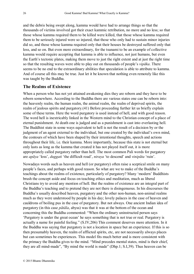and the debris being swept along, kamma would have had to arrange things so that the thousands of victims involved got their exact kammic retribution, no more and no less; so that those whose kamma required them to be killed were killed, that those whose kamma required them to be seriously injured were so injured, that those who only had to sustain minor injuries did so, and those whose kamma required only that their houses be destroyed suffered only that loss, and so on. But even more extraordinary, for the tsunami to be an example of collective kamma would require accepting that kamma is able to influence, not just humans, but even the Earth's tectonic plates, making them move to just the right extent and at just the right time so that the resulting waves were able to play out on thousands of people's *vipāka*. There seems to be no end to the extraordinary abilities that speculation is able to attribute to kamma. And of course all this may be true. Just let it be known that nothing even remotely like this was taught by the Buddha.

#### <span id="page-25-0"></span>**The Realms of Existence**

When a person who has not yet attained awakening dies they are reborn and they have to be reborn somewhere. According to the Buddha there are various states one can be reborn into: the heavenly realm, the human realm, the animal realm, the realm of deprived spirits, the realm of jealous spirits and purgatory.[\(41\)](#page-52-0) Before proceeding further let us briefly explain some of these terms. Here the word purgatory is used instead of hell, and with good reason. The word hell is inextricably linked in the Western mind to the Christian concept of a place of eternal punishment. At death one is judged and as a punishment is cast into everlasting hell. The Buddhist state in some ways equivalent to hell is not the result of a decision by or the judgment of an agent external to the individual, but one created by the individual's own mind, the contours of which have been shaped by their intentional thoughts, speech and actions throughout their life, i.e. their kamma. More importantly, because this state is not eternal but only lasts as long as the kamma that created it has not played itself out, it is more appropriately called purgatory rather than hell. The most common Pali words for purgatory are *apāya* 'loss', *duggati* 'the difficult road', *niraya* 'to descend' and *vinipāta* 'ruin'.

Nowadays words such as heaven and hell (or purgatory) often raise a sceptical smile on many people's faces, and perhaps with good reason. So what are we to make of the Buddha's teachings about the realms of existence, particularly of purgatory? Many 'modern' Buddhists brush the concept aside and focus on teaching ethics and meditation, much as liberal Christians try to avoid any mention of hell. But the realms of existence are an integral part of the Buddha's teaching and to pretend they are not there is disingenuous. In his discourses the Buddha's usually described heaven, purgatory and the other non-human, non-animal realms much as they were understood by people in his day; lovely palaces in the case of heaven and cauldrons of boiling pus in the case of purgatory. But not always. One ancient Indian idea of purgatory (in this case *pātāla*, abyss) was that it was at the bottom of the ocean and concerning this the Buddha commented: "When the ordinary uninstructed person says 'Purgatory is under the great ocean' he says something that is not true or real. Purgatory is actually a name for painful feeling." (S.IV,206) This comment deserves more attention. In it the Buddha was saying that purgatory is not a location in space but an experience. If this is so then presumably heaven, the realm of afflicted spirits, etc, are not necessarily always places but can sometimes be experiences. This model fits much better and is more consistent with the primacy the Buddha gives to the mind. "Mind precedes mental states, mind is their chief, they are all mind-made", "By mind the world is made" (Dhp.1; S.I,39). Thus heaven can be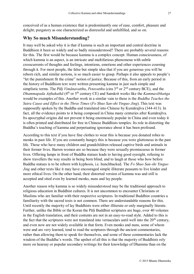conceived of as a human existence that is predominantly one of ease, comfort, pleasure and delight; purgatory as one characterized as distressful and unfulfilled, and so on.

#### <span id="page-26-0"></span>**Why So much Misunderstanding?**

It may well be asked why it is that if kamma is such an important and central doctrine in Buddhism it been so widely and so badly misunderstood? There are probably several reasons for this. The first would be because kamma is a complex concept. Human consciousness, of which kamma is an aspect, is an intricate and multifarious phenomena with subtle crosscurrents of thoughts and feelings, intentions, emotions and other experiences coursing through it. For most people, the false but simple idea that if you are generous you will be reborn rich, and similar notions, is so much easier to grasp. Perhaps it also appeals to people's "let the punishment fit the crime" notion of justice. Because of this, from an early period in the history of Buddhism text were written presenting kamma in just such simple and simplistic terms. The Pāḷi *Vimānavatthu*, *Petavatthu* (cira 3rd or 2nd century BCE), and the *Dhammapada Aṭṭhakathā* (4<sup>th</sup> or 5<sup>th</sup> century CE) and Sanskrit works like the *Kammavibhanga* would be examples of this. Another work in a similar vain to these is the *Buddha Teaches the Sutra Cause and Effect in the Three Times* (*Fo Shuo San-shi Yinguo Jing*). This text was supposedly spoken by the Buddha and translated into Chinese by Kumārajīva (344-413). In fact, all the evidence points to it being composed in China many centuries after Kumārajīva. Its apocryphal origins did not prevent it being enormously popular in China and even today it is often printed and distributed for free in Chinese Buddhists temples. Its role in distorting the Buddha's teaching of kamma and perpetuating ignorance about it has been profound.

According to this text if you have fine clothes to wear this is because you donated robes to monks in past life. If you are constantly hungry this is because you were gluttonous in the past life. Those who have many children and grandchildren released captive birds and animals in their former lives. Barren women are so because they were sexually promiscuous in former lives. Offering lamps in front of Buddha statues leads to having good eyesight, refusing to show travellers the way results in being born blind, and to laugh at those who bow before Buddha statues is to be reborn with kyphosis, i.e. hunchbacked. The *Fo Shuo San-shi Yinguo Jing* and other texts like it may have encouraged simple illiterate peasants to live kinder and more ethical lives. On the other hand, their distorted version of kamma was and still is accepted and sited even by learned monks, nuns and lay people.

Another reason why kamma is so widely misunderstood may be the traditional approach to religious education in Buddhist cultures. It is not uncommon to encounter Christians or Muslims who are familiar with their respective scriptures. In traditional Buddhist countries a familiarity with the sacred texts is not common. There are understandable reasons for this. Until recently the majority of lay Buddhists were either illiterate or only marginally literate. Further, unlike the Bible or the Koran the Pāli Buddhist scriptures are huge, over 40 volumes in the English translation, and their contents are not in an easy-to-read style. Added to this is the fact that the scriptures were not translated into vernaculars until well into the  $20<sup>th</sup>$  century, and even now are not widely available in that form. Even monks and nuns, some of whom were and are very learned, tend to read the scriptures through the ancient commentaries, rather than allowing them to speak for themselves, and some of these commentaries lack the wisdom of the Buddha's words. The upshot of all this is that the majority of Buddhists rely more on hearsay or popular secondary writings for their knowledge of Dhamma than on the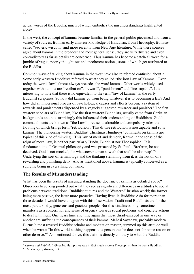actual words of the Buddha, much of which embodies the misunderstandings highlighted above.

In the west, the concept of kamma became familiar to the general public piecemeal and from a variety of sources; from an early amateur knowledge of Hinduism, from Theosophy, from socalled "esoteric wisdom" and more recently from New Age literature. While these sources agree about kamma in the broadest and most general sense, they are very diverse and even contradictory as far as details are concerned. Thus kamma has become a catch-all word for a jumble of vague, poorly thought-out and incoherent notions, some of which get attributed to the Buddha.

Common ways of talking about kamma in the west have also reinforced confusion about it. Some early western Buddhists referred to what they called "the iron Law of Kamma". Even today the word "law" almost always precedes the word kamma. Other words widely used together with kamma are "retribution", "reward", "punishment" and "inescapable". It is interesting to note that there is no equivalent to the term "law of kamma" in the early Buddhist scriptures. So how did kamma go from being whatever it is to becoming a law? And how did an impersonal process of psychological causes and effects become a system of rewards and punishments dispensed by a vaguely suggested rewarder and punisher? The first western scholars of Buddhism, like the first western Buddhists, usually came from Christian backgrounds and not surprisingly this influenced their understanding of Buddhism. God's commandments are known as "the Law"; precise, unalterable and compulsory rules the flouting of which brings forth "retribution". This divine retribution is inescapable and so is kamma. The pioneering western Buddhist Christmas Humhreys' comments on kamma are typical of this kind of thinking. "This law of merit and demerit, Karma in the sense of the reign of moral law, is neither particularly Hindu, Buddhist nor Theosophical. It is fundamental to all Oriental philosophy and was preached by St. Paul. 'Brethren, be not deceived. God is not mocked, for whatsoever a man soweth that shall he also reap'."<sup>3</sup> Underlying this sort of terminology and the thinking stemming from it, is the notion of a rewarding and punishing deity. And as mentioned above, kamma is typically conceived as a supreme being in everything but name.

#### <span id="page-27-0"></span>**The Results of Misunderstanding**

What has been the results of misunderstanding the doctrine of kamma as detailed above? Observers have long pointed out what they see as significant differences in attitudes to social problems between traditional Buddhist cultures and the Western/Christian world; the former being more passive, the latter more proactive. Having lived in Buddhist Asia for more than three decades I would have to agree with this observation. Traditional Buddhists are for the most part a kindly, generous and gracious people. But this kindliness only sometimes manifests as a concern for and sense of urgency towards social problems and concrete actions to deal with them. One hears time and time again that those disadvantaged in one way or another are suffering the consequences of their kamma. Mahasi Sayadaw, probably modern Burma's most revered Buddhist scholar and meditation master, summed up this attitude well when he wrote: "In this world nothing happens to a person that he does not for some reason or other deserve."<sup>4</sup> As mentioned above, this claim is directly contrary to what the Buddha

<u>.</u>

<sup>3</sup> *Karma and Rebirth*, 1994,p.16. Humphries was in fact much more a Theosophist than he was a Buddhist.

<sup>4</sup> *The Theory of Karma*, p.3.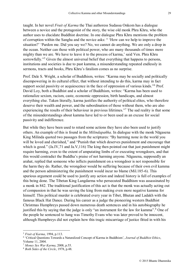taught. In her novel *Fruit of Karma* the Thai authoress Sudassa Onkom has a dialogue between a novice and the protagonist of the story, the wise old monk Phra Khru, who the author uses to elucidate Buddhist doctrine. In one dialogue Phra Khru mentions the problem of corruption within the Sangha and the novice asks: " 'How can we help to improve the situation?' 'Pardon me. Did you say we? No, we cannot do anything. We are only a drop in the ocean. Neither can those with political power, who are many thousands of times more mighty than we are. We have to leave it to the process of karma,' said Ven. Phra Khru sorrowfully."<sup>5</sup> Given the almost universal belief that everything that happens to persons, institutions and societies is due to past kamma, a misunderstanding repeated endlessly in sermons, tracts and books, Phru Khru's fatalism comes as no surprise.

Prof. Dale S. Wright, a scholar of Buddhism, writes: "Karma may be socially and politically disempowering in its cultural effect, that without intending to do this, karma may in fact support social passivity or acquiescence in the face of oppression of various kinds."<sup>6</sup> Prof. David Loy, both a Buddhist and a scholar of Buddhism, writes: "Karma has been used to rationalize sexism, racism, caste, economic oppression, birth handicaps, and almost everything else. Taken literally, karma justifies the authority of political elites, who therefore deserve their wealth and power, and the subordination of those without them, who are also experiencing the results of their behaviour in previous lifetimes."<sup>7</sup> The sad reality is that some of the misunderstandings about kamma have led to or been used as an excuse for social passivity and indifference.

But while they have been used to retard some actions they have also been used to justify others. An example of this is found in the *Milindapañha*. In dialogue with the monk Nāgasena King Milinda quoted two passages from the scriptures: "By harming none in the world you will be loved and cherished," and "Punish that which deserves punishment and encourage that which is good." (Ja.IV, 71 and Ja.V, 116) The king then pointed out that just punishment might require harming, even to the extent of amputating limbs of or executing wrongdoers, and that this would contradict the Buddha's praise of not harming anyone. Nāgasena, supposedly an arahat, replied that someone who inflicts punishment on a wrongdoer is not responsible for the harm they do. Rather, the wrongdoer would be suffering because of their own evil kamma and the person administering the punishment would incur no blame (Mil.185-6). This spurious argument could be used to justify any action and indeed history is full of examples of this being done. The Tibetan King Langdarma who persecuted Buddhism was assassinated by a monk in 842. The traditional justification of this act is that the monk was actually acting out of compassion in that he was saving the king from making even more negative kamma for himself. This political murder is celebrated every year in Tibet, Bhutan and Ladakh with the famous Black Hat Dance. During his career as a judge the pioneering western Buddhist Christmas Humphreys passed down numerous death sentences and in his autobiography he justified this by saying that the judge is only "an instrument for the law for kamma".<sup>8</sup> One of the people he sentenced to hang was Timothy Evans who was later proved to be innocent, although Humphreys did not explain how this tragic miscarriage of justice fitted in with his

1

<sup>5</sup> *Fruit of Karma*, 1994, p.113.

<sup>6</sup> 'Critical Questions Towards a Naturalized Concept of Karma in Buddhism', *Journal of Buddhist Ethics*, Volume 11, 2004.

<sup>7</sup> *Money Sex War Karma*, 2008, p.55.

<sup>8</sup> *Both Sides of the Circle*, 1978, p.48.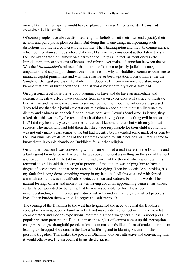view of kamma. Perhaps he would have explained it as *vipāka* for a murder Evans had committed in his last life.

Of course people have always distorted religious beliefs to suit their own ends, justify their actions and put a pious gloss on them. But doing this is one thing; incorporating such distortions into the sacred literature is another. The *Milindapañha* and the Pāḷi commentaries, which both contain spurious interpretations of kamma, are considered authoritative texts in the Theravada tradition, almost on a par with the Tipiṭaka. In fact, as mentioned in the Introduction, few expositions of kamma and rebirth ever make a distinction between the two. Was the *Milindapañha*'s misuse of the doctrine of kamma to justify judicial torture, amputation and capital punishment one of the reasons why all Buddhists countries continue to maintain capital punishment and why there has never been agitation from within either the Sangha or the legal profession to abolish it? I doubt it. But common misunderstandings of kamma that prevail throughout the Buddhist world most certainly would have had.

On a personal level false views about kamma can have and do have an immediate and extremely negative effect. Two examples from my own experience will suffice to illustrate this. A man and his wife once came to see me, both of them looking noticeably depressed. They told me that their joyful expectations at having an addition to their family turned to dismay and sadness when their first child was born with Down's Syndrome. Is it true, they asked, that this was really the result of both of them having done something evil in an earlier life? I did my best to try to explain the subtleties of kamma to them but with only limited success. The monk who had told them that they were responsible for their child's condition was not only many years senior to me but had recently been awarded some mark of esteem by the Thai king. My explanations of the Dhamma counted for little besides his. Later I came to know that this couple abandoned Buddhism for another religion.

On another occasion I was conversing with a man who had a real interest in the Dhamma and a fairly good knowledge of it as well. As we spoke I noticed a swelling on the side of his neck and asked him about it. He told me that he had cancer of the thyroid which was now in its terminal stage. He said that his regular practice of meditation was helping him to have a degree of acceptance and that he was reconciled to dying. Then he added: "And besides, it's my fault for having done something wrong in my last life." All this was said with forced cheerfulness but it was not difficult to detect the fear and sadness behind his words. The natural feelings of fear and anxiety he was having about his approaching demise was almost certainly compounded by believing that he was responsible for his illness. So misunderstanding kamma is not just a doctrinal or theoretical matter, it can affect people's lives. It can burden them with guilt, regret and self-reproach.

The coming of the Dhamma to the west has heightened the need to revisit the Buddha's concept of kamma, become familiar with it and make a distinction between it and how later commentators and modern expositions interpret it. Buddhism generally has "a good press" in popular western perceptions. But as soon as the subject of kamma comes up this perception changes. Amongst thoughtful people at least, kamma sounds like a form of crude determinism leading to shrugged shoulders in the face of suffering and to blaming victims for their personal tragedies. This makes the precious Dhamma look less attractive and convincing than it would otherwise. It even opens it to justified criticism.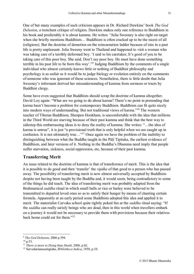One of but many examples of such criticism appears in Dr. Richard Dawkins' book *The God Delusion*, a trenchant critique of religion. Dawkins makes only one reference to Buddhism in his book and predictably it is about kamma. He writes: "Julia Sweeney is also right on target when she briefly mentions Buddhism… Buddhism is often cracked up to be the nicest of all (religions). But the doctrine of demotion on the reincarnation ladder because of sins in a past life is pretty unpleasant. Julia Sweeny went to Thailand and happened to visit a woman who was taking care of a terribly deformed boy. 'I said to his caretaker, It's good of you to be taking care of this poor boy. She said, Don't say poor boy. He must have done something terrible in his past life to be born this way'."<sup>9</sup> Judging Buddhism by the comments of a single individual who almost certainly knows little or nothing of Buddhist philosophy and psychology is as unfair as it would be to judge biology or evolution entirely on the comments of someone who was ignorant of those sciences. Nonetheless, there is little doubt that Julia Sweeney's informant derived her misunderstanding of kamma from sermons or tracts by Buddhist clergy.

Some have even suggested that Buddhists should scrap the doctrine of kamma altogether. David Loy again: "What are we going to do about karma? There's no point in pretending that karma hasn't become a problem for contemporary Buddhism. Buddhism can fit quite nicely into modern ways of understanding. But not traditional views of karma."<sup>10</sup> The western teacher of Tibetan Buddhism, Shenpen Hookham, is uncomfortable with the idea that millions in the Third World are starving because of their past kamma and think that the best way to sidestep this embarrassing ideas is to deny the reality of kamma. She writes: "…the idea of karma is untrue", it is just "a provisional truth that is only helpful when we are caught up in confusion. It is not ultimately true…"<sup>11</sup> Once again we have the problem of the inability to distinguishing between what the Buddha taught in the Pāḷi Tipitaka, the earliest evidence of Buddhism, and later versions of it. Nothing in the Buddha's Dhamma need imply that people suffer starvation, sickness, social oppression, etc, because of their past kamma.

#### <span id="page-30-0"></span>**Transferring Merit**

An issue related to the doctrine of kamma is that of transference of merit. This is the idea that it is possible to do good and then 'transfer' the *vipāka* of that good to a person who has passed away. The possibility of transferring merit is now almost universally accepted by Buddhists despite not having been taught by the Buddha and, it would seem, being contradictory to some of the things he did teach. The idea of transferring merit was probably adapted from the Brahmanical *saddha* ritual in which small balls or rice or barley were believed to be transmitted to departed loved ones so as to satisfy their hunger by means of chanting certain formula. Apparently at an early period some Buddhists adopted this idea and applied it to merit. The materialist Carvaka school quite rightly poked fun at the *saddha* ritual saying: "If the *saddha* can really satisfy beings who are dead, then in this world when travellers embark on a journey it would not be necessary to provide them with provisions because their relatives back home could eat for them."<sup>12</sup>

<u>.</u>

<sup>9</sup> *The God Delusion*, 2006 p.394.

 $10$  p.53.

<sup>11</sup> *There is more to Dying than Death*, 2006, p.62.

<sup>12</sup> Sarvadarśanasaṁgraha, *Bibilotheca Indica*, 1858, p.10.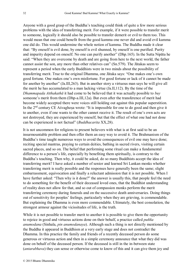Anyone with a good grasp of the Buddha's teaching could think of quite a few more serious problems with the idea of transferring merit. For example, if it were possible to transfer merit to someone, logically it should also be possible to transfer demerit or evil to them too. This would mean that one could benefit from the good kamma one never did and avoid evil kamma one did do. This would undermine the whole notion of kamma. The Buddha made it clear that: "By oneself is evil done, by oneself is evil shunned, by oneself is one purified. Purity and impurity depend on oneself. No one can purify another" (Dhp.165). In the Sutta Nipāta he said: "When they are overcome by death and are going from here to the next world, the father cannot assist the son, any more than other relatives can" (Sn.579). The Jātakas seem to represent a period when the early Buddhists were in two minds about the possibility of transferring merit. True to the original Dhamma, one Jātaka says: "One makes one's own good fortune. One makes one's own misfortune. For good fortune or lack of it cannot be made for another by another" (Ja.III,263). But in another story a virtuous man says he will give all the merit he has accumulated to a man lacking virtue (Ja.II,112). By the time of the *Dhammapada Atthakathā* it had come to be believed that it was actually possible to *buy* someone's merit from them (Dhp-a.III,12a). But even after the transference of merit had become widely accepted there were voices still holding out against this popular superstition. In the 2<sup>nd</sup> century CE Aśvaghoṣa wrote: "It is impossible for one to do good and then give it to another, even if one wants to the other cannot receive it. The result of one's own acts are not destroyed, they are experienced by oneself, but that the effect of what one had not done can be experienced is not factual" (*Buddhacarita* XX,28).

It is not uncommon for religions to present believers with what is at first said to be an insurmountable problem and then offer them an easy way to avoid it. The Brahmanism of the Buddha's time taught numerous ways to avoid the consequences of evil one may have done; reciting special mantras, praying to certain deities, bathing in sacred rivers, visiting certain sacred places, and so on. The belief that performing some ritual can make a fundamental difference to a person's life, especially by benefiting them spiritually, is contrary to the Buddha's teaching. Then why, it could be asked, do so many Buddhists accept the idea of transferring merit? I have asked a number of senior and learned Sri Lankan monks whether transferring merit is really possible and the responses have generally been the same; slight embarrassment, equivocation and finally a reluctant admission that it is not possible. When I have further asked: "Then why is it done?" the answer is usually this, that people feel the need to do something for the benefit of their deceased loved ones, that the Buddhist understanding of reality does not allow for that, and so out of compassion monks perform the merit transferring ceremony during funerals and on the successive death anniversaries. Doing things out of sensitivity for peoples' feelings, particularly when they are grieving, is commendable. But explaining the Dhamma is even more commendable. Ultimately, the best consolation, the strongest armour against the vicissitudes of life, is the truth.

While it is not possible to transfer merit to another it is possible to give them the opportunity to rejoice in good and virtuous actions done on their behalf, a practice called *puñña anumodana* (Sinhala, *pin anumodanaya*). Although such a thing is not directly mentioned by the Buddha it appeared in Buddhism at a very early stage and does not contradict the Dhamma. In this practice the family and friends of a recently deceased person do some generous or virtuous action and then in a simple ceremony announce that what they did was done on behalf of the deceased person. If the deceased is still in the in-between state (*antarabhava*) they can sense or otherwise come to know of this and it can give them joy and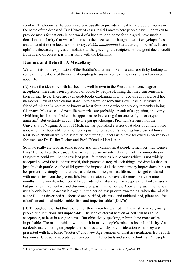comfort. Traditionally the good deed was usually to provide a meal for a group of monks in the name of the deceased. But I know of cases in Sri Lanka where people have undertaken to provide meals for patients in one ward of a hospital or a home for the aged, have made a donation to a charity that was of interest to the deceased, or bought a set of encyclopaedias and donated it to the local school library. *Puñña anumodana* has a variety of benefits. It can uplift the deceased, it gives consolation to the grieving, the recipients of the good deed benefit from it, and of course it is in harmony with the Dhamma.

#### <span id="page-32-0"></span>**Kamma and Rebirth. A Miscellany**

We will finish this exploration of the Buddha's doctrine of kamma and rebirth by looking at some of implications of them and attempting to answer some of the questions often raised about them.

(A) Since the idea of rebirth has become well-known in the West and to some degree acceptable, there has been a plethora of books by people claiming that they can remember their former lives. There are even guidebooks explaining how to recover supposed past life memories. Few of these claims stand up to careful or sometimes even casual scrutiny. A friend of mine tells me that he knows at least four people who can vividly remember being Cleopatra. Most so-called past life memories are probably a result of suggestion, an overlyvivid imagination, the desire to be appear more interesting than one really is, or cryptoamnesia.<sup>13</sup> But certainly not all. The late parapsychologist Prof. Ian Stevenson of the University of Virginia School of Medicine has published a series of studies of children who appear to have been able to remember a past life. Stevenson's findings have earned him at least some attention from the scientific community. Others who have followed in Stevenson's footsteps are Dr. B. Jim Tucker and Prof. Erlendur Haraldsson.

So if we really are reborn, some people ask, why cannot most people remember their former lives? But perhaps they can, at least while they are infants. Children not uncommonly say things that could well be the result of past life memories but because rebirth is not widely accepted beyond the Buddhist world, their parents disregard such things and dismiss then as just childish prattle. As the child grows the impact of all the new sensory impressions in his or her present life simply smother the past life memories, or past life memories get confused with memories from the present life. For the majority however, it seems likely the nine months in the womb, which could be considered a natural sensory-deprivation tank, erases all but just a few fragmentary and disconnected past life memories. Apparently such memories usually only become accessible again in the period just prior to awakening, when the mind is, as the Buddha described it: "focused and purified, cleansed and unblemished, pliant and free of defilements, malleable, stable, firm and imperturbable".(D.I,76)

(B) Throughout the Buddhist world rebirth is taken for granted. In the west however, many people find it curious and improbable. The idea of eternal heaven or hell still has some acceptance, at least in a vague sense. But objectively speaking, rebirth is no more or less improbable. The main problem with rebirth in many people's minds is its unfamiliarity. And no doubt many intelligent people dismiss it as unworthy of consideration when they are presented with half baked "esoteric" and New Age versions of what in circulation. But rebirth has won at least some acceptance from certain intellectuals and serious thinkers. Philosopher

1

<sup>13</sup> On crypto-amnesia see Ian Wilson's *Mind Out of Time: Reincarnation Investigated*, 1981.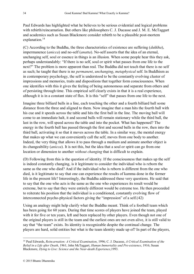Paul Edwards has highlighted what he believes to be serious evidential and logical problems with rebirth/reincarnation. But others like philosophers C. J. Ducasse and J. M. E. McTaggart and academics such as Susan Blackmore consider rebirth to be a plausible post-mortem explanation.<sup>14</sup>

(C) According to the Buddha, the three characteristics of existence are suffering (*dukkha*), impermanence (*anicca*) and no-self (*anatta*). No-self asserts that the idea of an eternal, unchanging self, soul or essence in things is an illusion. When some people hear this they ask, perhaps understandably: "If there is no self, soul or spirit what passes from one life to the next?" The problem is more apparent than real. The Buddha did not teach that there is no self as such; he taught that there is no *permanent*, *unchanging*, *metaphysical* self. In Buddhism as in contemporary psychology, the self is understood to be the constantly evolving cluster of impressions and memories, traits and dispositions that together form consciousness. When one identifies with this it gives the feeling of being autonomous and separate from others and of persisting through time. This empirical self clearly exists in that it is a real experience, although it is in a constant state of flux. It is this "self" that passes from one life to the next.

Imagine three billiard balls in a line, each touching the other and a fourth billiard ball some distance from the three and aligned to them. Now imagine that a man hits the fourth ball with his cue and it speeds across the table and hits the first ball in the line. The moving ball will come to an immediate halt, it and second balls will remain stationary while the third ball, the last in the row, will speed across the table and into the pocket. What has happened? The energy in the fourth ball has passed through the first and second balls in the row, then into the third ball, activating it so that it moves across the table. In a similar way, the mental energy that makes up what we can conveniently call the self, moves from one body to another. Indeed, the very thing that allows it to pass through a medium and animate another object is its changeability (*anicca*). It is not this, but the idea that a soul or spirit can go from one location or dimension to another *without changing* that is difficult to explain.

(D) Following from this is the question of identity. If the consciousness that makes up the self is indeed constantly changing, is it legitimate to consider the individual who is reborn the same as the one who died? And if the individual who is reborn is different from the one who died, is it legitimate to say that one can experience the results of kamma done in the former life in the present life? Interestingly, the Buddha addressed these very questions. He said that to say that the one who acts is the same as the one who experiences its result would be extreme, but to say that they were entirely different would be extreme too. He then proceeded to reiterate his position that the individual is a conditioned, constantly evolving flow of interconnected psycho-physical factors giving the "impression" of a self.([42\)](#page-52-1)

Using an analogy might help clarify what the Buddha meant. Think of a football team which has been going for 60 years. During that time scores of players have joined the team, played with it for five or ten years, left and been replaced by other players. Even though not one of the original players is still in the team and the earliest ones are not even alive, it is still valid to say that "the team" exists. Its identity is recognizable despite the continual change. The players are hard, solid entities but what is the team identity made up of? In part of the players,

1

<sup>14</sup> Paul Edwards, *Reincarnation: A Critical Examination*, 1996; C. J. Ducasse, *A Critical Examination of the Belief in a Life after Death*, 1961; John McTaggart, *Human Immortality and Pre-existence*, 1916; Susan Blackmore, *Dying to Live: Science and the Near-death Experience*,1993.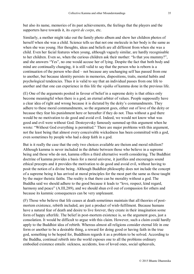but also its name, memories of its past achievements, the feelings that the players and the supporters have towards it, its *esprit de corps*, etc.

Similarly, a mother might take out the family photo album and show her children photos of herself when she was a child. Science tells us that not one molecule in her body is the same as when she was young. Her thoughts, ideas and beliefs are all different from when she was a child. Even her facial features when young, although vaguely similar, are hardly recognisable to her children. Even so, when the curious children ask their mother: "Is that you mummy?", and she answers "Yes", no one would accuse her of lying. Despite the fact that both body and mind are continually changing, it is still valid to say that the person who is reborn is a continuation of the person who died – not because any unchanging self has passed from one to another, but because identity persists in memories, dispositions, traits, mental habits and psychological tendencies. Thus it is valid to say that an individual passes from one life to another and that one can experience in this life the *vipāka* of kamma done in the previous life.

(E) One of the arguments posited in favour of belief in a supreme deity is that ethics only become meaningful when there is a god, an eternal arbiter of values. People supposedly have a clear idea of right and wrong because it is dictated by the deity's commandments. They adhere to these moral commandments, so the argument goes, either out of love of the deity or because they fear his punishment here or hereafter if they do not. Thus without a god there would be no motivation to do good and avoid evil. Indeed, we would not know what was good and evil were without God. Dostoyevsky famously summed up this argument when he wrote: "Without God everything is permitted." There are major problems with this argument, not the least being that almost every conceivable wickedness has been committed with a god, even sometimes by people who had a deep faith in a god.

But is it really the case that the only two choices available are theism and moral nihilism? Although kamma is never included in the debate between those who believe in a supreme being and those who do not, kamma offers a third alternative worth considering. The Buddhist doctrine of kamma provides a basis for a moral universe, it justifies and encourages sound ethical precepts and it provides the motivation to do good and avoid evil, without having to posit the notion of a divine being. Although Buddhist philosophy does not include the concept of a supreme being it has arrived at moral principles for the most part the same as those taught by the major theistic faiths. The reality is that there can be morality without a god. The Buddha said we should adhere to the good because it leads to "love, respect, kind regard, harmony and peace" (A.III,289), and we should shun evil out of compassion for others and because its kammic consequences can be very unpleasant.

(F) Those who believe that life ceases at death sometimes maintain that all theories of postmortem existence, rebirth included, are just a product of wish-fulfilment. Because humans have a natural fear of death and desire to live forever, they create in their imagination some form of happy afterlife. The belief in post-mortem existence is, so the argument goes, just a consolation. It would be difficult to argue with this claim. However, such a claim could hardly apply to the Buddhist idea of rebirth. Whereas almost all religions consider eternal life in one form or another to be a desirable thing, a reward for doing good or having faith in the true god, something to be hoped for, Buddhism regards it as a problem to be solved. According to the Buddha, continual rebirth into the world exposes one to all the problems ordinary embodied existence entails: sickness, accidents, loss of loved ones, social upheavals,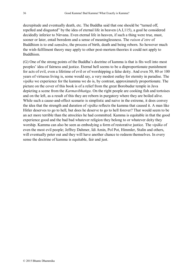decrepitude and eventually death, etc. The Buddha said that one should be "turned off, repelled and disgusted" by the idea of eternal life in heaven (A.I,115), a goal he considered decidedly inferior to Nirvana. Even eternal life in heaven, if such a thing were true, must, sooner or later, entail boredom and a sense of meaninglessness. The *raison d'etre* of Buddhism is to end *saṃsāra*, the process of birth, death and being reborn. So however much the wish-fulfilment theory may apply to other post-mortem theories it could not apply to Buddhism.

(G) One of the strong points of the Buddha's doctrine of kamma is that is fits well into most peoples' idea of fairness and justice. Eternal hell seems to be a disproportionate punishment for acts of evil, even a lifetime of evil or of worshipping a false deity. And even 50, 80 or 100 years of virtuous living is, some would say, a very modest outlay for eternity in paradise. The *vipāka* we experience for the kamma we do is, by contrast, approximately proportionate. The picture on the cover of this book is of a relief from the great Borobudur temple in Java depicting a scene from the *Karmavibhaṅga*. On the right people are cooking fish and tortoises and on the left, as a result of this they are reborn in purgatory where they are boiled alive. While such a cause-and-effect scenario is simplistic and naive in the extreme, it does convey the idea that the strength and duration of *vipāka* reflects the kamma that caused it. A man like Hitler deserves to go to hell, but does he deserve to go to hell forever? That would seem to be an act more terrible than the atrocities he had committed. Kamma is equitable in that the good experience good and the bad bad whatever religion they belong to or whatever deity they worship. Kamma can also be seen as embodying a form of restorative justice. The *vipāka* of even the most evil people; Jeffrey Dahmer, Idi Amin, Pol Pot, Himmler, Stalin and others, will eventually peter out and they will have another chance to redeem themselves. In every sense the doctrine of kamma is equitable, fair and just.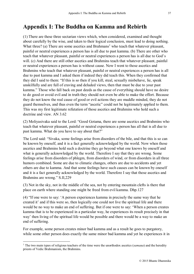# <span id="page-36-0"></span>**Appendix I: The Buddha on Kamma and Rebirth**

<span id="page-36-1"></span>(1) There are these three sectarian views which, when considered, examined and thought about carefully by the wise, and taken to their logical conclusion, must lead to doing nothing. What three? (a) There are some ascetics and Brahmans<sup>1</sup> who teach that whatever pleasant, painful or neutral experiences a person has is all due to past kamma. (b) There are other who teach that whatever pleasant, painful or neutral experiences a person has is all due to God's will. (c) And there are still other ascetics and Brahmins teach that whatever pleasant, painful or neutral experiences a person has is without cause. Now I went to those ascetics and Brahmins who teach that whatever pleasant, painful or neutral experiences a person has is all due to past kamma and I asked them if indeed they did teach this. When they confirmed that they did I said to them: "If this is so then if you kill, steal, sexually misbehave, lie, speak unskilfully and are full of craving and deluded views, then that must be due to your past kamma." Those who fall back on past deeds as the cause of everything should have no desire to do good or avoid evil and in truth they should not even be able to make the effort. Because they do not know the real cause of good or evil actions they are muddle minded, they do not guard themselves, and thus even the term "ascetic" could not be legitimately applied to them. This was my first legitimate refutation of those ascetics and Brahmins who hold such a doctrine and view. AN 3.62

<span id="page-36-2"></span>(2) Moliyasivaka said to the Lord: "Good Gotama, there are some ascetics and Brahmins who teach that whatever pleasant, painful or neutral experiences a person has all that is all due to past kamma. What do you have to say about that?"

The Lord said: "Sivaka, some feelings arise from disorders of the bile, and that this is so can be known by oneself, and it is a fact generally acknowledged by the world. Now when those ascetics and Brahmins hold such a doctrine they go beyond what one knows by oneself and what is generally acknowledged by the world. Therefore I say that they are wrong. Some feelings arise from disorders of phlegm, from disorders of wind, or from disorders in all three humors combined. Some are due to climatic changes, others are due to accidents and yet others are due to kamma. And that some feelings have such causes can be known by oneself and it is a fact generally acknowledged by the world. Therefore I say that those ascetics and Brahmins are wrong." S.II,229

<span id="page-36-3"></span>(3) Not in the sky, not in the middle of the sea, not by entering mountain clefts is there that place on earth where standing one might be freed from evil kamma. Dhp.127

<span id="page-36-4"></span>(4) "If one were to say: 'A person experiences kamma in precisely the same way that he created it' and if this were so, then logically one could not live the spiritual life and there would be no way to make an end of suffering. But if one were to say: 'When a person creates kamma that is to be experienced in a particular way, he experiences its result precisely in that way' then living of the spiritual life would be possible and there would be a way to make an end of suffering.

For example, some person creates minor bad kamma and as a result he goes to purgatory, while some other person does exactly the same minor bad kamma and yet he experiences it in

<u>.</u>

<sup>&</sup>lt;sup>1</sup> The two main types of religious teachers of the time were the unorthodox ascetics (*samaṇa*) and the heredity priests of Vedic Brahmanism, the Brahmins.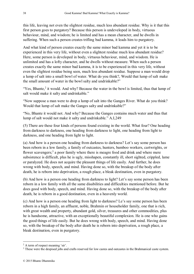this life, leaving not even the slightest residue, much less abundant residue. Why is it that this first person goes to purgatory? Because this person is undeveloped in body, virtuous behaviour, mind, and wisdom; he is limited and has a mean character, and he dwells in suffering. When such a person creates trifling bad kamma, it leads him to purgatory.

And what kind of person creates exactly the same minor bad kamma and yet it is to be experienced in this very life, without even a slightest residue much less abundant residue? Here, some person is developed in body, virtuous behaviour, mind, and wisdom. He is unlimited and has a lofty character, and he dwells without measure. When such a person creates exactly the same minor bad kamma, it is to be experienced in this very life, without even the slightest residue being seen, much less abundant residue. Suppose a man would drop a lump of salt into a small bowl of water. What do you think?, Would that lump of salt make the small amount of water in the bowl salty and undrinkable?"

"Yes, Bhante, $2$  it would. And why? Because the water in the bowl is limited, thus that lump of salt would make it salty and undrinkable."

"Now suppose a man were to drop a lump of salt into the Ganges River. What do you think? Would that lump of salt make the Ganges salty and undrinkable?"

"No, Bhante it would not. And why? Because the Ganges contains much water and thus that lump of salt would not make it salty and undrinkable." A.I,249

<span id="page-37-0"></span>(5) There are these four kinds of persons found existing in the world. What four? One heading from darkness to darkness, one heading from darkness to light, one heading from light to darkness, and one heading from light to light.

(a) And how is a person one heading from darkness to darkness? Let's say some person has been reborn in a low family, a family of outcastes, hunters, bamboo workers, cartwrights, or flower scavengers;<sup>3</sup> a poor family where there is meagre food and drink and where mere subsistence is difficult, plus he is ugly, misshapen, constantly ill, short sighted, crippled, lame or paralyzed. He does not acquire the pleasant things of life easily. And further, he does wrong with body, speech, and mind. Having done so, with the breakup of the body after death, he is reborn into deprivation, a rough place, a bleak destination, even in purgatory.

(b) And how is a person one heading from darkness to light? Let's say some person has been reborn in a low family with all the same disabilities and difficulties mentioned before. But he does good with body, speech, and mind. Having done so, with the breakup of the body after death, he is reborn in a good destination, even in a heavenly world.

(c) And how is a person one heading from light to darkness? Le's say some person has been reborn in a high family, an affluent, noble, Brahmin or householder family, one that is rich, with great wealth and property, abundant gold, silver, treasures and other commodities, plus he is handsome, attractive, with an exceptionally beautiful complexion. He is one who gains the good things of life easily. But he does wrong with body, speech, and mind. Having done so, with the breakup of the body after death he is reborn into deprivation, a rough place, a bleak destination, even in purgatory.

<u>.</u>

<sup>&</sup>lt;sup>2</sup> A term of respect meaning 'sir'.

<sup>&</sup>lt;sup>3</sup> These were the despised jobs and crafts reserved for low castes and outcastes in the Brahmanical caste system.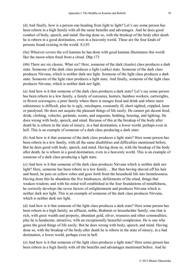(d) And finally, how is a person one heading from light to light? Let's say some person has been reborn in a high family with all the same benefits and advantages. And he does good conduct of body, speech, and mind. Having done so, with the breakup of the body after death he is reborn in a good destination, even in a heavenly world. These are the four kinds of persons found existing in the world. S.I,93

<span id="page-38-0"></span>(6a) Whoever covers the evil kamma he has done with good kamma illuminates this world like the moon when freed from a cloud. Dhp.173

<span id="page-38-1"></span>(6b) There are six classes. What six? Here, someone of the dark (*kaṇha*) class produces a dark state. Someone of the dark class produces a light (*sukka*) state. Someone of the dark class produces Nirvana, which is neither dark nor light. Someone of the light class produces a dark state. Someone of the light class produces a light state. And finally, someone of the light class produces Nirvana, which is neither dark nor light.

(a) And how is it that someone of the dark class produces a dark state? Let's say some person has been reborn in a low family, a family of outcastes, hunters, bamboo workers, cartwrights, or flower scavengers; a poor family where there is meagre food and drink and where mere subsistence is difficult, plus he is ugly, misshapen, constantly ill, short sighted, crippled, lame or paralyzed. He does not acquire the pleasant things of life easily. He cannot get decent food, drink, clothing, vehicles, garlands, scents, and unguents, bedding, housing, and lighting. He does wrong with body, speech, and mind. Because of this at the breakup of the body after death he is reborn in the state of misery, in a bad destination, a lower world, perhaps even in hell. This is an example of someone of a dark class producing a dark state.

(b) And how is it that someone of the dark class produces a light state? Here some person has been reborn in a low family, with all the same disabilities and difficulties mentioned before. But he does good with body, speech, and mind. Having done so, with the breakup of the body after death, he is reborn in a good destination, even in a heavenly world. This is an example of someone of a dark class producing a light state.

(c) And how is it that someone of the dark class produces Nirvana which is neither dark nor light? Here, someone has been reborn in a low family… But then having shaved off his hair and beard, he puts on yellow robes and goes forth from the household life into homelessness. Having done this he abandons the five hindrances, defilements of the mind, things that weaken wisdom; and with his mind well established in the four foundations of mindfulness, he correctly develops the seven factors of enlightenment and produces Nirvana which is neither dark nor light. This is an example of someone of the dark class produces Nirvana, which is neither dark nor light.

(d) And how is it that someone of the light class produces a dark state? Here some person has been reborn in a high family, an affluent, noble, Brahmin or householder family, one that is rich, with great wealth and property, abundant gold, silver, treasures and other commodities, plus he is handsome, attractive, with an exceptionally beautiful complexion. He is one who gains the good things of life easily. But he does wrong with body, speech, and mind. Having done so, with the breakup of the body after death he is reborn in the state of misery, in a bad destination, a lower world, perhaps even in hell.

(e) And how is it that someone of the light class produces a light state? Here some person has been reborn in a high family with all the benefits and advantages mentioned before. And he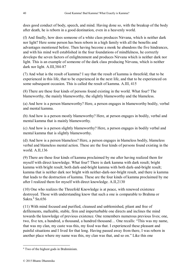does good conduct of body, speech, and mind. Having done so, with the breakup of the body after death, he is reborn in a good destination, even in a heavenly world.

(f) And finally, how does someone of a white class produces Nirvana, which is neither dark nor light? Here some person has been reborn in a high family with all the benefits and advantages mentioned before. Then having become a monk he abandons the five hindrances, and with his mind well established in the four foundations of mindfulness, he correctly develops the seven factors of enlightenment and produces Nirvana which is neither dark nor light. This is an example of someone of the dark class producing Nirvana, which is neither dark nor light. A.III,384-87

<span id="page-39-0"></span>(7) And what is the result of kamma? I say that the result of kamma is threefold; that to be experienced in this life, that to be experienced in the next life, and that to be experienced on some subsequent occasion. This is called the result of kamma. A.III, 415

<span id="page-39-1"></span>(8) There are these four kinds of persons found existing in the world. What four? The blameworthy, the mainly blameworthy, the slightly blameworthy and the blameless.

(a) And how is a person blameworthy? Here, a person engages in blameworthy bodily, verbal and mental kamma.

(b) And how is a person mostly blameworthy? Here, at person engages in bodily, verbal and mental kamma that is mainly blameworthy.

(c) And how is a person slightly blameworthy? Here, a person engages in bodily verbal and mental kamma that is slightly blameworthy.

(d) And how is a person blameless? Here, a person engages in blameless bodily, blameless verbal and blameless mental action. These are the four kinds of persons found existing in the world. A.II,136

<span id="page-39-2"></span>(9) There are these four kinds of kamma proclaimed by me after having realized them for myself with direct knowledge. What four? There is dark kamma with dark result; bright kamma with bright result; both dark-and-bright kamma with both dark-and-bright result; kamma that is neither dark nor bright with neither-dark-nor-bright result, and there is kamma that leads to the destruction of kamma. These are the four kinds of kamma proclaimed by me after I realized them for myself with direct knowledge. A.II,2130

<span id="page-39-3"></span>(10) One who realizes the Threefold Knowledge is at peace, with renewed existence destroyed. Those with understanding know that such a one is comparable to Brahma or Sakra. $4$  Sn.656

<span id="page-39-4"></span>(11) With mind focused and purified, cleansed and unblemished, pliant and free of defilements, malleable, stable, firm and imperturbable one directs and inclines the mind towards the knowledge of previous existence. One remembers numerous previous lives; one, two, five ten, a hundred, a thousand, a hundred thousand… One recalls: "This was my name, that was my clan, my caste was this, my food was that. I experienced these pleasant and painful situations and I lived for that long. Having passed away from there, I was reborn in another place where my name was this, my clan was that, and so on." Like this one

1

<sup>4</sup> Two of the highest gods in Brahminism.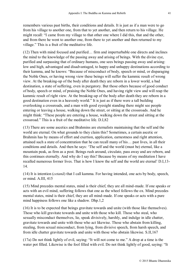remembers various past births, their conditions and details. It is just as if a man were to go from his village to another one, from that to yet another, and then return to his village. He might recall: "I came from my village to that other one where I did this, that and the other, and from there he went to another one, from there to yet another and then returned to my village." This is a fruit of the meditative life.

<span id="page-40-0"></span>(12) Then with mind focused and purified… firm and imperturbable one directs and inclines the mind to the knowledge of the passing away and arising of beings. With the divine eye, purified and surpassing that of ordinary humans, one sees beings passing away and arising: low and high, advantaged and disadvantaged, to happy and unhappy destinations according to their kamma, and he knows: "Because of misconduct of body, speech or mind, or disparaging the Noble Ones, or having wrong view these beings will suffer the kammic result of wrong view. At the breaking-up of the body after death they are reborn in a lower world, a bad destination, a state of suffering, even in purgatory. But those others because of good conduct of body, speech or mind, of praising the Noble Ones, and having right view and will reap the kammic result of right view. At the breaking-up of the body after death they are reborn in a good destination even in a heavenly world." It is just as if there were a tall building overlooking a crossroads, and a man with good eyesight standing there might see people entering or leaving a house, walking down the street, or sitting at the crossroads. And he might think: "These people are entering a house, walking down the street and sitting at the crossroad." This is a fruit of the meditative life. D.I,82

<span id="page-40-1"></span>(13) There are some ascetics and Brahmins are eternalists maintaining that the self and the world are eternal. On what grounds to they claim this? Sometimes, a certain ascetic or Brahmin has by means of effort and exertion, application, earnestness and right attention, attained such a state of concentration that he can recall many of his… past lives, in all their conditions and details. And then he says: 'The self and the world (must be) eternal, like a mountain peak, as firm as a post. Beings rush around, circulate, pass away and are reborn, and this continues eternally. And why do I say this? Because by means of my meditation I have recalled numerous former lives. That is how I know the self and the world are eternal' D.I,13- 14.

<span id="page-40-2"></span>(14) It is intention (*cetanā*) that I call kamma. For having intended, one acts by body, speech, or mind. A.III, 415

<span id="page-40-3"></span>(15) Mind precedes mental states, mind is their chief, they are all mind-made. If one speaks or acts with an evil mind, suffering follows that one as the wheel follows the ox. Mind precedes mental states, mind is their chief, they are all mind-made. If one speaks or acts with a pure mind happiness follows one like a shadow. Dhp.1,2

<span id="page-40-4"></span>(16) It is to be expected that beings gravitate towards and unite (with those like themselves). Those who kill gravitate towards and unite with those who kill. Those who steal, who sexually misconduct themselves, lie, speak divisively, harshly, and indulge in idle chatter, gravitate towards and unite with those who act likewise. Those who abstain from killing, stealing, from sexual misconduct, from lying, from divisive speech, from harsh speech, and from idle chatter gravitate towards and unite with those who abstain likewise. S.II,167

<span id="page-40-5"></span>(17a) Do not think lightly of evil, saying: "It will not come to me." A drop at a time is the water pot filled. Likewise is the fool filled with evil. Do not think lightly of good, saying: "It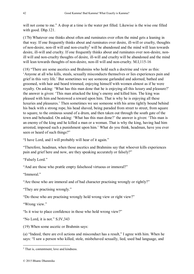will not come to me." A drop at a time is the water pot filled. Likewise is the wise one filled with good. Dhp.121.

<span id="page-41-0"></span>(17b) Whatever one thinks about often and ruminates over often the mind gets a leaning in that way. If one frequently thinks about and ruminates over desire, ill-will or cruelty, thoughts of non-desire, non-ill will and non-cruelty<sup>5</sup> will be abandoned and the mind will lean towards desire, ill-will and cruelty. If one frequently thinks about and ruminates over non-desire, nonill will and non-cruelty thoughts of desire, ill-will and cruelty will be abandoned and the mind will lean towards thoughts of non-desire, non-ill will and non-cruelty. M.I,115-16

<span id="page-41-1"></span>(18) "There are some ascetics and Brahmins who hold such a doctrine and view as this: 'Anyone at all who kills, steals, sexually misconducts themselves or lies experiences pain and grief in this very life.' But sometimes we see someone garlanded and adorned, bathed and groomed, with hair and beard trimmed, enjoying himself with women almost as if he were royalty. On asking: 'What has this man done that he is enjoying all this luxury and pleasure?' the answer is given: 'This man attacked the king's enemy and killed him. The king was pleased with him and bestowed a reward upon him. That is why he is enjoying all these luxuries and pleasures.' Then sometimes we see someone with his arms tightly bound behind his back with a strong rope, his head shaved, being paraded from street to street, from square to square, to the ominous sound of a drum, and then taken out through the south gate of the town and beheaded. On asking: 'What has this man done?' the answer is given: 'This man is an enemy of the king and he killed a man or a woman. That is why the king, having had him arrested, imposed such a punishment upon him.' What do you think, headman, have you ever seen or heard of such things?"

"I have Lord, and I will probably will hear of it again."

"Therefore, headman, when those ascetics and Brahmins say that whoever kills experiences pain and grief here and now, are they speaking accurately or falsely?"

"Falsely Lord."

"And are those who prattle empty falsehood virtuous or immoral?"

"Immoral"

"Are those who are immoral and of bad character practising wrongly or rightly?"

"They are practising wrongly."

"Do those who are practising wrongly hold wrong view or right view?"

"Wrong view."

"Is it wise to place confidence in those who hold wrong view?"

"No Lord, it is not." S.IV,343

<span id="page-41-2"></span>(19) When some ascetic or Brahmin says:

(a) "Indeed, there are evil actions and misconduct has a result," I agree with him. When he says: "I saw a person who killed, stole, misbehaved sexually, lied, used bad language, and

1

<sup>&</sup>lt;sup>5</sup> That is, contentment, love and kindness.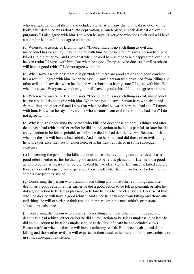who was greedy, full of ill-will and deluded views. And I saw that on the dissolution of the body, after death, he was reborn into deprivation, a rough place, a bleak destination, even in purgatory." I also agree with him. But when he says: "Everyone who does such evil will have a bad rebirth" then I do not agree with him.

(b) When some ascetic or Brahmin says: "Indeed, there is no such thing as evil and misconduct has no result," I do not agree with him. When he says: "I saw a person here who killed and did other evil and I saw that when he died he was reborn in a happy state, even in a heaven realm." I agree with him. But when he says: "Everyone who does such evil is reborn will have a good rebirth" I do not agree with him.

(c) When some ascetic or Brahmin says: "Indeed, there are good actions and good conduct has a result," I agree with him. When he says: "I saw a person who abstained from killing and other evil and I saw that when he died he was reborn in a happy state," I agree with him. But when he says: "Everyone who does good will have a good rebirth" I do not agree with him.

(d) When some ascetic or Brahmin says: "Indeed, there is no such thing as evil, misconduct has no result" I do not agree with him. When he says: "I saw a person here who abstained from killing and other evil and I saw that when he died he was reborn in a bad state" I agree with him. But when he says: "Everyone who abstains from evil is reborn in a bad state" I do not agree with him.

(e) Why is this? Concerning the person who kills and does those other evils things and after death has a bad rebirth; either earlier he did an evil action to be felt as painful, or later he did an evil action to be felt as painful, or before he died he had deluded views. Because of that when he dies he will have a bad rebirth. And since he killed and did those other evils things he will experience their result either here, or in his next rebirth, or in some subsequent existence.

(f) Concerning the person who kills and does those other evil things and after death has a good rebirth; either earlier he did a good action to be felt as pleasant, or later he did a good action to be felt as pleasant, or before he died he had clear views. But since he killed and did those other evil things he will experience their result either here, or in his next rebirth, or in some subsequent existence.

(g) Concerning the person who abstains from killing and those other evil things and after death has a good rebirth; either earlier he did a good action to be felt as pleasant, or later he did a good action to be felt as pleasant, or before he dies he had clear views. Because of that when he dies he will have a good rebirth. And since he abstained from killing and those other evil things he will experience their result either here, or in his next rebirth, or in some subsequent existence.

(h) Concerning the person who abstains from killing and those other evil things and after death has a bad rebirth; either earlier he did an evil action to be felt as unpleasant, or later he did an evil action to be felt as unpleasant, or at the time of death he had deluded views. Because of that when he dies he will have a unhappy rebirth. But since he abstained from killing and those other evils he will experience their result either here, or in his next rebirth, or in some subsequent existence.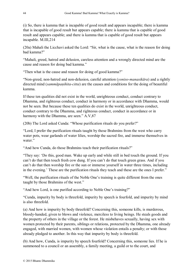(i) So, there is kamma that is incapable of good result and appears incapable; there is kamma that is incapable of good result but appears capable; there is kamma that is capable of good result and appears capable; and there is kamma that is capable of good result but appears incapable. M.III,214

<span id="page-43-0"></span>(20a) Mahali the Licchavi asked the Lord: "Sir, what is the cause, what is the reason for doing bad kamma?"

"Mahali, greed, hatred and delusion, careless attention and a wrongly directed mind are the cause and reason for doing bad kamma."

"Then what is the cause and reason for doing of good kamma?"

"Non-greed, non-hatred and non-delusion, careful attention (*yoniso-manasikāra*) and a rightly directed mind (*sammāpaṇihita-citta*) are the causes and conditions for the doing of beautiful kamma.

If these ten qualities did not exist in the world, unrighteous conduct, conduct contrary to Dhamma, and righteous conduct, conduct in harmony or in accordance with Dhamma, would not be seen. But because these ten qualities do exist in the world, unrighteous conduct, conduct contrary to the Dhamma, and righteous conduct, conduct in accordance or in harmony with the Dhamma, are seen." A.V,87

<span id="page-43-1"></span>(20b) The Lord asked Cunda: "Whose purification rituals do you prefer?"

"Lord, I prefer the purification rituals taught by those Brahmins from the west who carry water pots, wear garlands of water lilies, worship the sacred fire, and immerse themselves in water."

"And how Cunda, do those Brahmins teach their purification rituals?"

"They say: 'Do this, good man. Wake up early and while still in bed touch the ground. If you can't do that then touch fresh cow dung. If you can't do that touch green grass. And if you can't do that then worship fire or the sun or immerse yourself in water three times, including in the evening.' These are the purification rituals they teach and these are the ones I prefer."

"Well, the purification rituals of the Noble One's training is quite different from the ones taught by those Brahmins of the west."

"And how Lord, is one purified according to Noble One's training?"

"Cunda, impurity by body is threefold, impurity by speech is fourfold, and impurity by mind is also threefold.

(a) And how is impurity by body threefold? Concerning this, someone kills, is murderous, bloody-handed, given to blows and violence, merciless to living beings. He steals goods and the property of others in the village or the forest. He misbehaves sexually, having sex with women protected by their parents, siblings or relations, protected by the Dhamma, one already engaged, with married women, with women whose violation entails a penalty; or with those already pledged to another. In this way that impurity by body is threefold.

(b) And how, Cunda, is impurity by speech fourfold? Concerning this, someone lies. If he is summoned to a council or an assembly, a family meeting, a guild or to the court, and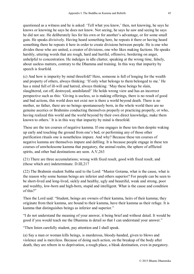questioned as a witness and he is asked: 'Tell what you know,' then, not knowing, he says he knows or knowing he says he does not know. Not seeing, he says he saw and seeing he says he did not see. He deliberately lies for his own or for another's advantage, or for some small gain. He speaks divisively. Having heard something here, he repeats it there or having heard something there he repeats it here in order to create divisions between people. He is one who divides those who are united, a creator of divisions, one who likes making factions. He speaks harshly, uttering words that are rough, hard and hurtful, offensive, bordering on anger, unhelpful to concentration. He indulges in idle chatter, speaking at the wrong time, falsely, about useless matters, contrary to the Dhamma and training. In this way that impurity by speech is fourfold.

(c) And how is impurity by mind threefold? Here, someone is full of longing for the wealth and property of others, always thinking: 'If only what belongs to them belonged to me.' He has a mind full of ill-will and hatred, always thinking: 'May these beings be slain, slaughtered, cut off, destroyed, annihilated!' He holds wrong view and has an incorrect perspective such as this: 'Giving is useless, so is making offerings, there is no result of good and bad actions, this world does not exist nor is there a world beyond death. There is no mother, no father, there are no beings spontaneously born, in the whole world there are no genuine ascetics or Brahmins conducting themselves properly or practicing properly, or who, having realized this world and the world beyond by their own direct knowledge, make them known to others.' It is in this way that impurity by mind is threefold.

These are the ten courses of negative kamma. If one engages in these ten then despite waking up early and touching the ground from one's bed, or performing any of those other purification rituals one is nonetheless impure. And why? Because these ten courses of negative kamma are themselves impure and defiling. It is because people engage in these ten courses of unwholesome kamma that purgatory, the animal realm, the sphere of afflicted spirits, and other bad destinations are seen. A.V,263

<span id="page-44-0"></span>(21) There are three accumulations; wrong with fixed result, good with fixed result, and (those which are) indeterminate. D.III,217

<span id="page-44-1"></span>(22) The Brahmin student Subha said to the Lord: "Master Gotama, what is the cause, what is the reason why some human beings are inferior and others superior? For people can be seen to be short-lived and long-lived, sickly and healthy, ugly and beautiful, weak and strong, poor and wealthy, low-born and high-born, stupid and intelligent. What is the cause and condition of this?"

Then the Lord said: "Student, beings are owners of their kamma, heirs of their kamma; they originate from their kamma, are bound to their kamma, have their kamma as their refuge. It is kamma that distinguishes beings as inferior and superior."

"I do not understand the meaning of your answer, it being brief and without detail. It would be good if you would teach me the Dhamma in detail so that I can understand your answer."

"Then listen carefully student, pay attention and I shall speak.

(a) Say a man or woman kills beings, is murderous, bloody-handed, given to blows and violence and is merciless. Because of doing such action, on the breakup of the body after death, they are reborn in to deprivation, a rough place, a bleak destination, even in purgatory.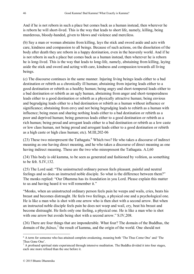And if he is not reborn in such a place but comes back as a human instead, then wherever he is reborn he will short-lived. This is the way that leads to short life, namely, killing, being murderous, bloody-handed, given to blows and violence and merciless.

(b) Say a man or woman abstains from killing, lays the stick and sword aside and acts with care, kindness and compassion to all beings. Because of such actions, on the dissolution of the body after death they are reborn in a happy destination, even in the heavenly world. And if he is not reborn in such a place but comes back as a human instead, then wherever he is reborn he is long-lived. This is the way that leads to long-life, namely, abstaining from killing, laying aside the stick and sword and acting with care, kindness and compassion towards all living beings.

(c) The discourse continues in the same manner. Injuring living beings leads either to a bad destination or rebirth as a chronically ill human; abstaining from injuring leads either to a good destination or rebirth as a healthy human; being angry and short-tempered leads either to a bad destination or rebirth as an ugly human, abstaining from anger and short-temperedness leads either to a good destination or rebirth as a physically attractive human; being envious and begrudging leads either to a bad destination or rebirth as a human without influence or significance; abstaining from envy and not being begrudging leads to rebirth as a human with influence; being mean and sharing nothing leads either to a bad destination or rebirth as a poor and deprived human; being generous leads either to a good destination or rebirth as a rich human; being proud and arrogant leads either to a bad destination or rebirth as a low caste or low class human, not being proud and arrogant leads either to a good destination or rebirth as a high caste or high class human; etc). M.III,202-06

<span id="page-45-0"></span>(23) These two misrepresent the Tathagata.<sup>6</sup> Which two? He who takes a discourse of indirect meaning as one having direct meaning, and he who takes a discourse of direct meaning as one having indirect meaning. These are the two who misrepresent the Tathagata. A.I,60

<span id="page-45-1"></span>(24) This body is old kamma, to be seen as generated and fashioned by volition, as something to be felt. S.IV,132.

<span id="page-45-2"></span>(25) The Lord said: "The uninstructed ordinary person feels pleasant, painful and neutral feelings and so does an instructed noble disciple. So what is the difference between them?" The monks replied: "Our Dhamma has its foundation in you Lord. Please explain this matter to us and having heard it we will remember it."

"Monks, when an uninstructed ordinary person feels pain he weeps and wails, cries, beats his breast and becomes distraught. He feels two feelings, a physical one and a psychological one. He is like a man who is shot with one arrow who is then shot with a second arrow. But when an instructed noble disciple feels pain he does not weep and wail, cry, beat his breast and become distraught. He feels only one feeling, a physical one. He is like a man who is shot with one arrow but avoids being shot with a second arrow." S.IV.208.

<span id="page-45-3"></span>(26) There are four things that are imponderable. What four? The domain of the Buddhas, the domain of the *jhānas*, 7 the result of kamma, and the origin of the world. One should not

<u>.</u>

<sup>&</sup>lt;sup>6</sup> A term for someone who has attained complete awakening, meaning both 'The Thus Come One' and 'The Thus Gone One'.

 $^7$  A profound spiritual state experienced through intensive meditation. The Buddha divided it into four stages, each one more refined than the one before it.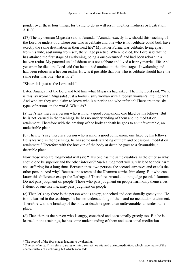ponder over these four things, for trying to do so will result in either madness or frustration. A.II,80

<span id="page-46-0"></span>(27) The lay woman Migasala said to Ananda: "Ananda, exactly how should this teaching of the Lord be understood where one who is celibate and one who is not celibate could both have exactly the same destination in their next life? My father Purina was celibate, living apart from his wife, abstaining from sex, the village practice. When he died, the Lord said that he has attained the first stage of awakening, being a once-returner<sup>8</sup> and had been reborn in a heaven realm. My paternal uncle Isidatta was not celibate and lived a happy married life. And yet when he died, the Lord said that he too had attained to the first stage of awakening and had been reborn in a heaven realm. How is it possible that one who is celibate should have the same rebirth as one who is not?"

"Sister, it is just as the Lord said."

Later, Ananda met the Lord and told him what Migasala had asked. Then the Lord said: "Who is this lay woman Migasala! Just a foolish, silly woman with a foolish woman's intelligence! And who are they who claim to know who is superior and who inferior? There are these six types of persons in the world. What six?

(a) Let's say there is a person who is mild, a good companion, one liked by his fellows. But he is not learned in the teachings, he has no understanding of them and no meditation attainment. Therefore with the breakup of the body at death he goes to an unfavourable, an undesirable place.

(b) Then let's say there is a person who is mild, a good companion, one liked by his fellows. He is learned in the teachings, he has some understanding of them and occasional meditation attainment.<sup>9</sup> Therefore with the breakup of the body at death he goes to a favourable, a desirable place.

Now those who are judgmental will say: "This one has the same qualities as the other so why should one be superior and the other inferior?" Such a judgment will surely lead to their harm and suffering for a long time. Between these two persons the second surpasses and excels the other person. And why? Because the stream of the Dhamma carries him along. But who can know this difference except the Tathagata? Therefore, Ananda, do not judge people's kamma. Do not pass judgment on people. Those who pass judgment on people harm only themselves. I alone, or one like me, may pass judgment on people.

(c) Then let's say there is the person who is angry, conceited and occasionally greedy too. He is not learned in the teachings, he has no understanding of them and no meditation attainment. Therefore with the breakup of the body at death he goes to an unfavourable, an undesirable place.

(d) Then there is the person who is angry, conceited and occasionally greedy too. But he is learned in the teachings, he has some understanding of them and occasional meditation

1

<sup>&</sup>lt;sup>8</sup> The second of the four stages leading to awakening.

<sup>&</sup>lt;sup>9</sup> Samaya vimutti. This refers to states of mind sometimes attained during meditation, which have many of the characteristics of awakening but which soon fade.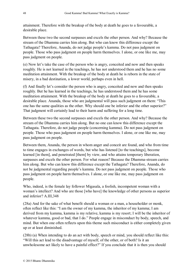attainment. Therefore with the breakup of the body at death he goes to a favourable, a desirable place.

Between these two the second surpasses and excels the other person. And why? Because the stream of the Dhamma carries him along. But who can know this difference except the Tathagata? Therefore, Ananda, do not judge people's kamma. Do not pass judgment on people. Those who pass judgment on people harm themselves. I alone, or one like me, may pass judgment on people.

(e) Now let's take the case of the person who is angry, conceited and now and then speaks roughly. He is not learned in the teachings, he has not understood them and he has no some meditation attainment. With the breakup of the body at death he is reborn in the state of misery, in a bad destination, a lower world, perhaps even in hell.

(f) And finally let's consider the person who is angry, conceited and now and then speaks roughly. But he has learned in the teachings, he has understood them and he has some meditation attainment. With the breakup of the body at death he goes to a favourable, a desirable place. Ananda, those who are judgmental will pass such judgment on them: "This one has the same qualities as the other. Why should one be inferior and the other superior?" That judgment will certainly lead to their harm and suffering for a long time.

Between these two the second surpasses and excels the other person. And why? Because the stream of the Dhamma carries him along. But no one can know this difference except the Tathagata. Therefore, do not judge people (concerning kamma). Do not pass judgment on people. Those who pass judgment on people harm themselves. I alone, or one like me, may pass judgment on people.

Between them, Ananda, the person in whom anger and conceit are found, and who from time to time engages in exchanges of words, but who has listened [to the teachings], become learned [in them], and penetrated [them] by view, and who attains temporary liberation, surpasses and excels the other person. For what reason? Because the Dhamma-stream carries him along. But who can know this difference except the Tathagata? Therefore, Ananda, do not be judgmental regarding people's kamma. Do not pass judgment on people. Those who pass judgment on people harm themselves. I alone, or one like me, may pass judgment on people.

Who, indeed, is the female lay follower Migasala, a foolish, incompetent woman with a woman's intellect? And who are those [who have] the knowledge of other persons as superior and inferior? A.III,348

<span id="page-47-0"></span>(28a) And for the sake of what benefit should a woman or a man, a householder or monk, often reflect like this: "I am the owner of my kamma, the inheritor of my kamma; I am derived from my kamma, kamma is my relative, kamma is my resort; I will be the inheritor of whatever kamma, good or bad, that I do." People engage in misconduct by body, speech, and mind. But when one often reflects upon this theme such misconduct is either completely given up or at least diminished.

<span id="page-47-1"></span>(28b) (a) When intending to do an act with body, speech or mind, you should reflect like this: "Will this act lead to the disadvantage of myself, of the other, or of both? Is it an unwholesome act likely to have a painful effect?" If you conclude that it is then you should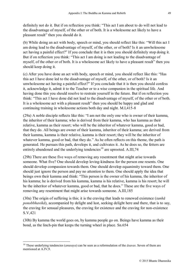definitely not do it. But if on reflection you think: "This act I am about to do will not lead to the disadvantage of myself, of the other or of both. It is a wholesome act likely to have a pleasant result" then you should do it.

(b) While doing an act with body, speech or mind, you should reflect like this: "Will this act I am doing lead to the disadvantage of myself, of the other, or of both? Is it an unwholesome act having a painful effect?" If you conclude that it is then you should definitely stop doing it. But if on reflection you think: "This act I am doing is not leading to the disadvantage of myself, of the other or of both. It is a wholesome act likely to have a pleasant result" then you should keep doing it.

(c) After you have done an act with body, speech or mind, you should reflect like this: "Has this act I have done led to the disadvantage of myself, of the other, or of both? Is it an unwholesome act having a painful effect?" If you conclude that it is then you should confess it, acknowledge it, admit it to the Teacher or to a wise companion in the spiritual life. And having done this you should resolve to restrain yourself in the future. But if on reflection you think: "This act I have done did not lead to the disadvantage of myself, of the other or of both. It is a wholesome act with a pleasant result" then you should be happy and glad and continuing training in wholesome actions both day and night. M.I,415-8

<span id="page-48-0"></span>(29a) A noble disciple reflects like this: "I am not the only one who is owner of their kamma, the inheritor of their kamma; who is derived from their kamma, who has kamma as their relative, kamma as their resort; who will be the inheritor of whatever kamma, good or bad, that they do. All beings are owner of their kamma, inheritor of their kamma; are derived from their kamma, kamma is their relative, kamma is their resort; they will be the inheritor of whatever kamma, good or bad, that they do." As he often reflects on this theme, the path is generated. He pursues this path, develops it, and cultivates it. As he does so, the fetters are entirely abandoned and the underlying tendencies<sup>10</sup> are uprooted. A.III,74

<span id="page-48-1"></span>(29b) There are these five ways of removing any resentment that might arise towards someone. What five? One should develop loving-kindness for the person one resents. One should develop compassion towards them. One should develop equanimity toward them. One should just ignore the person and pay no attention to them. One should apply the idea that beings own their kamma and think: "This person is the owner of his kamma, the inheritor of his kamma; he is derived from his kamma, kamma is his relative, kamma is his resort; he will be the inheritor of whatever kamma, good or bad, that he does." These are the five ways of removing any resentment that might arise towards someone. A.III,185

<span id="page-48-2"></span>(30a) The origin of suffering is this; it is the craving that leads to renewed existence (*tanhā ponobbhavikā*), accompanied by delight and lust, seeking delight here and there, that is to say, the craving for sensual pleasures, the craving for existence and the craving for non-existence S.V,421

<span id="page-48-3"></span>(30b) By kamma the world goes on, by kamma people go on. Beings have kamma as their bond, as the linch-pin that keeps the turning wheel in place. Sn.654

<u>.</u>

<sup>10</sup> These underlying tendencies (*anusaya*) can be seen as a reformulation of the *āsavas*. Seven of them are mentioned at A.IV,9.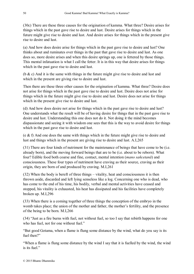<span id="page-49-0"></span>(30c) There are these three causes for the origination of kamma. What three? Desire arises for things which in the past gave rise to desire and lust. Desire arises for things which in the future might give rise to desire and lust. And desire arises for things which in the present give rise to desire and lust.

(a) And how does desire arise for things which in the past gave rise to desire and lust? One thinks about and ruminates over things in the past that gave rise to desire and lust. As one does so, more desire arises and when this desire springs up, one is fettered by those things. This mental infatuation is what I call the fetter. It is in this way that desire arises for things which in the past gave rise to desire and lust.

(b & c) And it is the same with things in the future might give rise to desire and lust and which in the present are giving rise to desire and lust.

Then there are these three other causes for the origination of kamma. What three? Desire does not arise for things which in the past gave rise to desire and lust. Desire does not arise for things which in the future might give rise to desire and lust. Desire does not arise for things which in the present give rise to desire and lust.

(d) And how does desire not arise for things which in the past gave rise to desire and lust? One understands what the result will be of having desire for things that in the past gave rise to desire and lust. Understanding this one does not do it. Not doing it the mind becomes dispassionate and seeing it with wisdom one sees that this is the way to avoid desire for things which in the past gave rise to desire and lust.

(e & f) And one does the same with things which in the future might give rise to desire and lust and things which in the present are giving rise to desire and lust. A.I,265

<span id="page-49-1"></span>(31) There are four kinds of nutriment for the maintenance of beings that have come to be (i.e. already born), and the moving forward beings that are to be (i.e. about to be reborn). What four? Edible food both coarse and fine, contact, mental intention (*mano sañcetanā*) and consciousness. These four types of nutriment have craving as their source, craving as their origin, they are born of and produced by craving. M.I,261

<span id="page-49-2"></span>(32) When the body is bereft of three things – vitality, heat and consciousness it is then thrown aside, discarded and left lying senseless like a log. Concerning one who is dead, who has come to the end of his time, his bodily, verbal and mental activities have ceased and stopped, his vitality is exhausted, his heat has dissipated and his facilities have completely broken up. M.I,296

<span id="page-49-3"></span>(33) When there is a coming together of three things the conception of the embryo in the womb takes place; the union of the mother and father, the mother's fertility, and the presence of the being to be born. M.I,266

<span id="page-49-4"></span>(34) "Just as a fire burns with fuel, not without fuel, so too I say that rebirth happens for one who has fuel, not for one without fuel."

"But good Gotama, when a flame is flung some distance by the wind, what do you say is its fuel then?"

"When a flame is flung some distance by the wind I say that it is fuelled by the wind, the wind is its fuel."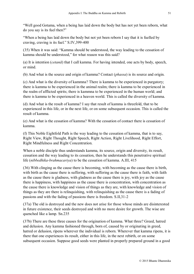"Well good Gotama, when a being has laid down the body but has not yet been reborn, what do you say is its fuel then?"

"When a being has laid down the body but not yet been reborn I say that it is fuelled by craving, craving is its fuel." S.IV,399-400

<span id="page-50-0"></span>(35) When it was said: "Kamma should be understood, the way leading to the cessation of kamma should be understood," for what reason was this said?

(a) It is intention (*cetanā*) that I call kamma. For having intended, one acts by body, speech, or mind.

(b) And what is the source and origin of kamma? Contact (*phassa*) is its source and origin.

(c) And what is the diversity of kammna? There is kamma to be experienced in purgatory; there is kamma to be experienced in the animal realm; there is kamma to be experienced in the realm of afflicted spirits; there is kammna to be experienced in the human world; and there is kamma to be experienced in a heaven world. This is called the diversity of kamma.

(d) And what is the result of kamma? I say that result of kamma is threefold, that to be experienced in this life, or in the next life, or on some subsequent occasion. This is called the result of kamma.

(e) And what is the cessation of kamma? With the cessation of contact there is cessation of kamma.

(f) This Noble Eightfold Path is the way leading to the cessation of kamma, that is to say, Right View, Right Thought, Right Speech, Right Action, Right Livelihood, Right Effort, Right Mindfulness and Right Concentration.

When a noble disciple thus understands kamma, its source, origin and diversity, its result, cessation and the way leading to its cessation, then he understands this penetrative spiritual life (*nibbedhika-brahmacariya*) to be the cessation of kamma. A.III, 415

<span id="page-50-1"></span>(36) With clinging as the cause there is becoming, with becoming as the cause there is birth, with birth as the cause there is suffering, with suffering as the cause there is faith, with faith as the cause there is gladness, with gladness as the cause there is joy, with joy as the cause there is happiness, with happiness as the cause there is concentration, with concentration as the cause there is knowledge and vision of things as they are, with knowledge and vision of things as they are there is relinquishing, with relinquishing as the cause there is a fading of passions and with the fading of passions there is freedom. S.II,31-2

<span id="page-50-2"></span>(37a) The old is destroyed and the new does not arise for those whose minds are disinterested in future existence, their seeds destroyed and with no more desire for growth. The wise are quenched like a lamp. Sn.235

<span id="page-50-3"></span>(37b) There are these three causes for the origination of kamma. What three? Greed, hatred and delusion. Any kamma fashioned through, born of, caused by or originating in greed, hatred or delusion, ripens wherever the individual is reborn. Wherever that kamma ripens, it is there that one experiences its result, either in this life, in the next rebirth, or on some subsequent occasion. Suppose good seeds were planted in properly prepared ground in a good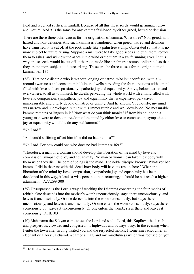field and received sufficient rainfall. Because of all this those seeds would germinate, grow and mature. And it is the same for any kamma fashioned by either greed, hatred or delusion.

There are these three other causes for the origination of kamma. What three? Non-greed, nonhatred and non-delusion. Any such kamma is abandoned, when greed, hatred and delusion have vanished; it is cut off at the root, made like a palm tree stump, obliterated so that it is no more subject to future arising. Suppose a man were to take good seeds and burn them, reduce them to ashes, and winnow the ashes in the wind or tip them in a swift running river. In this way, those seeds would be cut off at the root, made like a palm tree stump, obliterated so that they are no more subject to future arising. These are the three causes for the origination of kamma. A.I,135

<span id="page-51-0"></span>(38) "That noble disciple who is without longing or hatred, who is unconfused, with allaround awareness and constant mindfulness, dwells pervading the four directions with a mind filled with love and compassion, sympathetic joy and equanimity. Above, below, across and everywhere, to all as to himself, he dwells pervading the whole world with a mind filled with love and compassion, sympathetic joy and equanimity that is expansive, pervasive, immeasurable and utterly devoid of hatred or enmity. And he knows: 'Previously, my mind was narrow and undeveloped but now it is immeasurable and well developed. No measurable kamma remains or lingers in it.' Now what do you think monks? If from his childhood a young man were to develop freedom of the mind by either love or compassion, sympathetic joy or equanimity would he do any bad kamma?"

"No Lord"

"And could suffering affect him if he did no bad kamma?"

"No Lord. For how could one who does no bad kamma suffer?"

"Therefore, a man or a woman should develop this liberation of the mind by love and compassion, sympathetic joy and equanimity. No man or woman can take their body with them when they die. The core of beings is the mind. The noble disciple knows: 'Whatever bad kamma I did in the past with this deed-born body will have its results here.' When the liberation of the mind by love, compassion, sympathetic joy and equanimity has been developed in this way, it leads a wise person to non-returning,  $\frac{1}{1}$  should he not reach a higher attainment." A,V,299-300

<span id="page-51-1"></span>(39) Unsurpassed is the Lord's way of teaching the Dhamma concerning the four modes of rebirth. One descends into the mother's womb unconsciously, stays there unconsciously, and leaves it unconsciously. Or one descends into the womb consciously, but stays there unconsciously, and leaves it unconsciously. Or one enters the womb consciously, stays there consciously but leaves it unconsciously. Or one enters the womb, stays there and leaves it consciously. D.III,103

<span id="page-51-2"></span>(40) Mahanama the Sakyan came to see the Lord and said: "Lord, this Kapilavatthu is rich and prosperous, crowded and congested, its highways and byways busy. In the evening when I enter the town after having visited you and the respected monks, I sometimes encounter an elephant or a horse, a chariot, a cart or a man, and my mindfulness which was focused on you,

1

 $11$  The third of the four states leading to awakening.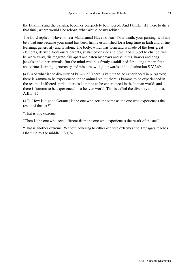the Dhamma and the Sangha, becomes completely bewildered. And I think: 'If I were to die at that time, where would I be reborn, what would be my rebirth'?"

The Lord replied: "Have no fear Mahanama! Have no fear! Your death, your passing, will not be a bad one because your mind has been firmly established for a long time in faith and virtue, learning, generosity and wisdom. The body, which has form and is made of the four great elements, derived from one's parents, sustained on rice and gruel and subject to change, will be worn away, disintegrate, fall apart and eaten by crows and vultures, hawks and dogs, jackals and other animals. But the mind which is firmly established for a long time in faith and virtue, learning, generosity and wisdom, will go upwards and to distinction S.V,369.

<span id="page-52-0"></span>(41) And what is the diversity of kammna? There is kamma to be experienced in purgatory; there is kamma to be experienced in the animal realm; there is kamma to be experienced in the realm of afflicted spirits; there is kammna to be experienced in the human world; and there is kamma to be experienced in a heaven world. This is called the diversity of kamma. A.III, 415

<span id="page-52-1"></span>(42) "How is it good Gotama; is the one who acts the same as the one who experiences the result of the act?"

"That is one extreme."

"Then is the one who acts different from the one who experiences the result of the act?"

"That is another extreme. Without adhering to either of these extremes the Tathagata teaches Dhamma by the middle." S.I,7-6.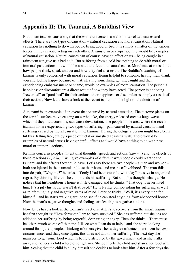#### <span id="page-53-0"></span>**Appendix II: The Tsunami, A Buddhist View**

Buddhism teaches causation, that the whole universe is a web of interrelated causes and effects. There are two types of causation – natural causation and moral causation. Natural causation has nothing to do with people being good or bad, it is simply a matter of the various forces in the universe acting on each other. A rainstorm or crops ripening would be examples of natural causation. Natural causes can of course have an effect on us – being caught in a rainstorm can give us a bad cold. But suffering from a cold has nothing to do with moral or immoral past actions – it would be a natural effect of a natural cause. Moral causation is about how people think, speak and act and how they feel as a result. The Buddha's teaching of kamma is only concerned with moral causation. Being helpful to someone, having them thank you and feeling happy because of that; stealing something, getting caught and then experiencing embarrassment or shame, would be examples of moral causation. The person's happiness or discomfort are a direct result of how they have acted. The person is not being "rewarded" or "punished" for their actions, their happiness or discomfort is simply a result of their actions. Now let us have a look at the recent tsunami in the light of the doctrine of kamma.

A tsunami is an example of an event that occured by natural causation. The tectonic plates on the earth's surface move causing an earthquake, the energy released creates huge waves which, if they hit a coastline, can cause devastation. The people in the area where the recent tsunami hit are experiencing two types of suffering – pain caused by natural causation and suffering caused by moral causation, i.e, kamma. During the deluge a person might have been hit by a falling tree, cut by a piece of metal or smashed against a wall. These would be examples of natural causes having painful effects and would have nothing to do with past moral or immoral actions.

Kamma concerns peoples' intentional thoughts, speech and actions (*kamma*) and the effects of those reactions (*vipāka*). I will give examples of different ways people could react to the tsunami and the effects they could have. Let's say there are two people – a man and women – both are injured in the tsunami and lose their home and means of livelihood. The man falls into despair, "Why me?" he cries. "If only I had been out of town today", he says in anger and regret. By thinking like this he compounds his suffering. But soon his thoughts change. He notices that his neighbour's home is little damaged and he thinks: "That dog! I never liked him. It's a pity his house wasn't destroyed." He is further compounding his suffering as well as reinforcing ugly and negative states of mind. Later he thinks: "Well, it's every man for himself", and he starts walking around to see if he can steal anything from abandoned houses. Now the man's negative thoughts and feelings are leading to negative actions.

Now let us have a look at the woman's reactions. After she recovers from the initial trauma her first thought is: "How fortunate I am to have survived." She has suffered but she has not added to her suffering by being regretful, despairing or angry. Then she thinks: "There must be others much worse off than me. I'll see what I can do to help," and she starts looking around for injured people. Thinking of others gives her a degree of detachment from her own circumstances and thus, once again, this does not add to her suffering. The next day she manages to get some food which is being distributed by the government and as she walks away she notices a child who did not get any. She comforts the child and shares her food with him. Seeing that the child is all by himself she decides to look after him. After a few days the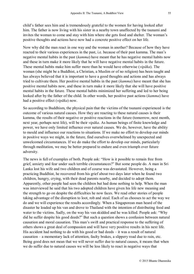child's father sees him and is tremendously grateful to the women for having looked after him. The father is now living with his sister in a nearby town unaffected by the tsunami and invites the woman to come and stay with him where she gets food and shelter. The woman's positive thoughts and actions have now had a concrete positive effect on her life.

Now why did the man react in one way and the woman in another? Because of how they have reacted to their various experiences in the past, i.e. because of their past kamma. The man's negative mental habits in the past (*kamma*) have meant that he has negative mental habits now and these in turn make it more likely that he will have negative mental habits in the future. These mental habits make him suffer more than he would have otherwise (*vipāka*). The woman (she might be a Buddhist, a Christian, a Muslim or of no religion) has been taught and has always believed that it is important to have a good thoughts and actions and has always tried to cultivate them. Her positive mental habits in the past (*kamma*) have meant that she has positive mental habits now, and these in turn make it more likely that she will have positive mental habits in the future. These mental habits minimized her suffering and led to her being looked after by the father of the child. In other words, her positive past actions (*kamma*) have had a positive effect (*vipāka*) now.

So according to Buddhism, the physical pain that the victims of the tsunami experienced is the outcome of various natural causes. How they are reacting to these natural causes is their kamma, the results of their negative or positive reactions in the future (tomorrow, next month, next year, perhaps next life), will be their *vipāka*. As human beings of finite knowledge and power, we have only limited influence over natural causes. We do, however, have the ability to mould and influence our reactions to situations. If we make no effort to develop our minds in positive ways we might, in the future, find ourselves overwhelmed by unexpected and unwelcomed circumstances. If we do make the effort to develop our minds, particularly through meditation, we may be better prepared to endure and even triumph over future adversity.

The news is full of examples of both. People ask: "How is it possible to remain free from grief, anxiety and fear under such terrible circumstances?" But some people do. A man in Sri Lanka lost his wife and two children and of course was devastated. However, being a practicing Buddhist, he recovered from his grief about two days later when he found two children, hungry, crying, with their dead parents nearby, and decided to adopt them. Apparently, other people had seen the children but had done nothing to help. When the man was interviewed he said that his two adopted children have given his life new meaning and the strength to go on despite the difficulties he now faces. We read other stories of people taking advantage of the disruption to loot, rob and steal. Each of us chooses to act the way we do and we will experience the results accordingly. When a Singaporean man heard of the disaster he loaded up his van and drove to Thailand with the intention of distributing food and water to the victims. Sadly, on the way his van skidded and he was killed. People ask: "Why did he suffer despite his good deeds?" But such a question shows a confusion between natural causation and moral causation. This man's swift and practical response to the suffering of others shows a great deal of compassion and will have very positive results in his next life. His accident had nothing to do with his good or bad deeds  $-$  it was a result of natural causation – a momentary lack of attention, faulty brakes, a slippery road due to rain, etc. Being good does not mean that we will never suffer due to natural causes, it means that when we do suffer due to natural causes we will be less likely to react in negative ways that